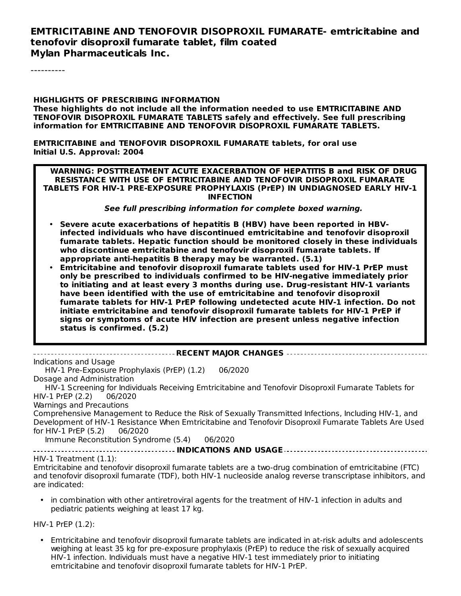#### **EMTRICITABINE AND TENOFOVIR DISOPROXIL FUMARATE- emtricitabine and tenofovir disoproxil fumarate tablet, film coated Mylan Pharmaceuticals Inc.**

----------

**HIGHLIGHTS OF PRESCRIBING INFORMATION These highlights do not include all the information needed to use EMTRICITABINE AND TENOFOVIR DISOPROXIL FUMARATE TABLETS safely and effectively. See full prescribing information for EMTRICITABINE AND TENOFOVIR DISOPROXIL FUMARATE TABLETS.**

**EMTRICITABINE and TENOFOVIR DISOPROXIL FUMARATE tablets, for oral use Initial U.S. Approval: 2004**

**WARNING: POSTTREATMENT ACUTE EXACERBATION OF HEPATITIS B and RISK OF DRUG RESISTANCE WITH USE OF EMTRICITABINE AND TENOFOVIR DISOPROXIL FUMARATE TABLETS FOR HIV-1 PRE-EXPOSURE PROPHYLAXIS (PrEP) IN UNDIAGNOSED EARLY HIV-1 INFECTION**

**See full prescribing information for complete boxed warning.**

- **Severe acute exacerbations of hepatitis B (HBV) have been reported in HBVinfected individuals who have discontinued emtricitabine and tenofovir disoproxil fumarate tablets. Hepatic function should be monitored closely in these individuals who discontinue emtricitabine and tenofovir disoproxil fumarate tablets. If appropriate anti-hepatitis B therapy may be warranted. (5.1)**
- **Emtricitabine and tenofovir disoproxil fumarate tablets used for HIV-1 PrEP must only be prescribed to individuals confirmed to be HIV-negative immediately prior to initiating and at least every 3 months during use. Drug-resistant HIV-1 variants have been identified with the use of emtricitabine and tenofovir disoproxil fumarate tablets for HIV-1 PrEP following undetected acute HIV-1 infection. Do not initiate emtricitabine and tenofovir disoproxil fumarate tablets for HIV-1 PrEP if signs or symptoms of acute HIV infection are present unless negative infection status is confirmed. (5.2)**

| Indications and Usage                                                                                                         |
|-------------------------------------------------------------------------------------------------------------------------------|
| HIV-1 Pre-Exposure Prophylaxis (PrEP) (1.2)<br>06/2020                                                                        |
| Dosage and Administration                                                                                                     |
| HIV-1 Screening for Individuals Receiving Emtricitabine and Tenofovir Disoproxil Fumarate Tablets for                         |
| HIV-1 PrEP (2.2) 06/2020                                                                                                      |
| Warnings and Precautions                                                                                                      |
| Comprehensive Management to Reduce the Risk of Sexually Transmitted Infections, Including HIV-1, and                          |
| Development of HIV-1 Resistance When Emtricitabine and Tenofovir Disoproxil Fumarate Tablets Are Used                         |
| for HIV-1 PrEP $(5.2)$<br>06/2020                                                                                             |
| Immune Reconstitution Syndrome (5.4)<br>06/2020                                                                               |
|                                                                                                                               |
| $HIV-1$ Treatment $(1.1)$ :                                                                                                   |
| Emtricitabine and tenofovir disoproxil fumarate tablets are a two-drug combination of emtricitabine (FTC)                     |
| and tenofovir disoproxil fumarate (TDF), both HIV-1 nucleoside analog reverse transcriptase inhibitors, and<br>are indicated: |
| • in combination with other antiretroviral agents for the treatment of HIV-1 infection in adults and                          |

pediatric patients weighing at least 17 kg.

HIV-1 PrEP (1.2):

• Emtricitabine and tenofovir disoproxil fumarate tablets are indicated in at-risk adults and adolescents weighing at least 35 kg for pre-exposure prophylaxis (PrEP) to reduce the risk of sexually acquired HIV-1 infection. Individuals must have a negative HIV-1 test immediately prior to initiating emtricitabine and tenofovir disoproxil fumarate tablets for HIV-1 PrEP.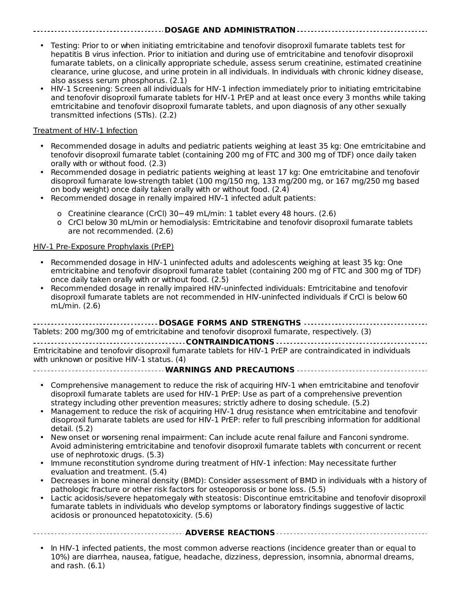#### **DOSAGE AND ADMINISTRATION**

- Testing: Prior to or when initiating emtricitabine and tenofovir disoproxil fumarate tablets test for hepatitis B virus infection. Prior to initiation and during use of emtricitabine and tenofovir disoproxil fumarate tablets, on a clinically appropriate schedule, assess serum creatinine, estimated creatinine clearance, urine glucose, and urine protein in all individuals. In individuals with chronic kidney disease, also assess serum phosphorus. (2.1)
- HIV-1 Screening: Screen all individuals for HIV-1 infection immediately prior to initiating emtricitabine and tenofovir disoproxil fumarate tablets for HIV-1 PrEP and at least once every 3 months while taking emtricitabine and tenofovir disoproxil fumarate tablets, and upon diagnosis of any other sexually transmitted infections (STIs). (2.2)

#### Treatment of HIV-1 Infection

- Recommended dosage in adults and pediatric patients weighing at least 35 kg: One emtricitabine and tenofovir disoproxil fumarate tablet (containing 200 mg of FTC and 300 mg of TDF) once daily taken orally with or without food. (2.3)
- Recommended dosage in pediatric patients weighing at least 17 kg: One emtricitabine and tenofovir disoproxil fumarate low-strength tablet (100 mg/150 mg, 133 mg/200 mg, or 167 mg/250 mg based on body weight) once daily taken orally with or without food. (2.4)
- Recommended dosage in renally impaired HIV-1 infected adult patients:
	- o Creatinine clearance (CrCl) 30−49 mL/min: 1 tablet every 48 hours. (2.6)
	- o CrCl below 30 mL/min or hemodialysis: Emtricitabine and tenofovir disoproxil fumarate tablets are not recommended. (2.6)

#### HIV-1 Pre-Exposure Prophylaxis (PrEP)

- Recommended dosage in HIV-1 uninfected adults and adolescents weighing at least 35 kg: One emtricitabine and tenofovir disoproxil fumarate tablet (containing 200 mg of FTC and 300 mg of TDF) once daily taken orally with or without food. (2.5)
- Recommended dosage in renally impaired HIV-uninfected individuals: Emtricitabine and tenofovir disoproxil fumarate tablets are not recommended in HIV-uninfected individuals if CrCl is below 60 mL/min. (2.6)

**DOSAGE FORMS AND STRENGTHS** Tablets: 200 mg/300 mg of emtricitabine and tenofovir disoproxil fumarate, respectively. (3) **CONTRAINDICATIONS** Emtricitabine and tenofovir disoproxil fumarate tablets for HIV-1 PrEP are contraindicated in individuals

with unknown or positive HIV-1 status. (4)

**WARNINGS AND PRECAUTIONS**

- Comprehensive management to reduce the risk of acquiring HIV-1 when emtricitabine and tenofovir disoproxil fumarate tablets are used for HIV-1 PrEP: Use as part of a comprehensive prevention strategy including other prevention measures; strictly adhere to dosing schedule. (5.2)
- Management to reduce the risk of acquiring HIV-1 drug resistance when emtricitabine and tenofovir disoproxil fumarate tablets are used for HIV-1 PrEP: refer to full prescribing information for additional detail. (5.2)
- New onset or worsening renal impairment: Can include acute renal failure and Fanconi syndrome. Avoid administering emtricitabine and tenofovir disoproxil fumarate tablets with concurrent or recent use of nephrotoxic drugs. (5.3)
- Immune reconstitution syndrome during treatment of HIV-1 infection: May necessitate further evaluation and treatment. (5.4)
- Decreases in bone mineral density (BMD): Consider assessment of BMD in individuals with a history of pathologic fracture or other risk factors for osteoporosis or bone loss. (5.5)
- Lactic acidosis/severe hepatomegaly with steatosis: Discontinue emtricitabine and tenofovir disoproxil fumarate tablets in individuals who develop symptoms or laboratory findings suggestive of lactic acidosis or pronounced hepatotoxicity. (5.6)

|--|

• In HIV-1 infected patients, the most common adverse reactions (incidence greater than or equal to 10%) are diarrhea, nausea, fatigue, headache, dizziness, depression, insomnia, abnormal dreams, and rash. (6.1)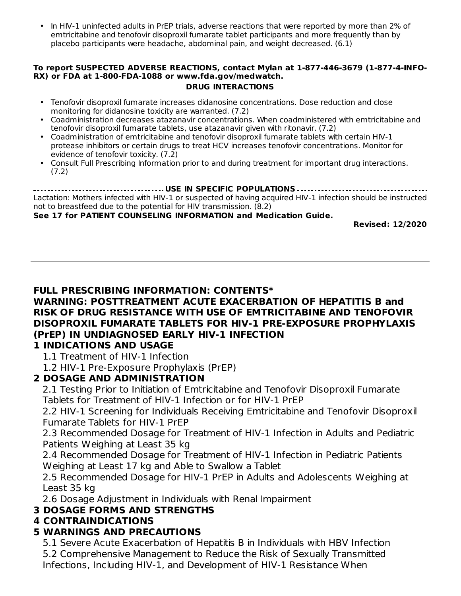• and rash. (6.1) In HIV-1 uninfected adults in PrEP trials, adverse reactions that were reported by more than 2% of emtricitabine and tenofovir disoproxil fumarate tablet participants and more frequently than by placebo participants were headache, abdominal pain, and weight decreased. (6.1)

#### **To report SUSPECTED ADVERSE REACTIONS, contact Mylan at 1-877-446-3679 (1-877-4-INFO-RX) or FDA at 1-800-FDA-1088 or www.fda.gov/medwatch.**

**DRUG INTERACTIONS**

- Tenofovir disoproxil fumarate increases didanosine concentrations. Dose reduction and close monitoring for didanosine toxicity are warranted. (7.2)
- Coadministration decreases atazanavir concentrations. When coadministered with emtricitabine and tenofovir disoproxil fumarate tablets, use atazanavir given with ritonavir. (7.2)
- Coadministration of emtricitabine and tenofovir disoproxil fumarate tablets with certain HIV-1 protease inhibitors or certain drugs to treat HCV increases tenofovir concentrations. Monitor for evidence of tenofovir toxicity.  $(7.2)$
- Consult Full Prescribing Information prior to and during treatment for important drug interactions. (7.2)

**USE IN SPECIFIC POPULATIONS** Lactation: Mothers infected with HIV-1 or suspected of having acquired HIV-1 infection should be instructed not to breastfeed due to the potential for HIV transmission. (8.2)

#### **See 17 for PATIENT COUNSELING INFORMATION and Medication Guide.**

**Revised: 12/2020**

## **FULL PRESCRIBING INFORMATION: CONTENTS\***

#### **WARNING: POSTTREATMENT ACUTE EXACERBATION OF HEPATITIS B and RISK OF DRUG RESISTANCE WITH USE OF EMTRICITABINE AND TENOFOVIR DISOPROXIL FUMARATE TABLETS FOR HIV-1 PRE-EXPOSURE PROPHYLAXIS (PrEP) IN UNDIAGNOSED EARLY HIV-1 INFECTION**

## **1 INDICATIONS AND USAGE**

- 1.1 Treatment of HIV-1 Infection
- 1.2 HIV-1 Pre-Exposure Prophylaxis (PrEP)

## **2 DOSAGE AND ADMINISTRATION**

2.1 Testing Prior to Initiation of Emtricitabine and Tenofovir Disoproxil Fumarate Tablets for Treatment of HIV-1 Infection or for HIV-1 PrEP

2.2 HIV-1 Screening for Individuals Receiving Emtricitabine and Tenofovir Disoproxil Fumarate Tablets for HIV-1 PrEP

2.3 Recommended Dosage for Treatment of HIV-1 Infection in Adults and Pediatric Patients Weighing at Least 35 kg

2.4 Recommended Dosage for Treatment of HIV-1 Infection in Pediatric Patients Weighing at Least 17 kg and Able to Swallow a Tablet

2.5 Recommended Dosage for HIV-1 PrEP in Adults and Adolescents Weighing at Least 35 kg

2.6 Dosage Adjustment in Individuals with Renal Impairment

### **3 DOSAGE FORMS AND STRENGTHS**

### **4 CONTRAINDICATIONS**

## **5 WARNINGS AND PRECAUTIONS**

5.1 Severe Acute Exacerbation of Hepatitis B in Individuals with HBV Infection 5.2 Comprehensive Management to Reduce the Risk of Sexually Transmitted Infections, Including HIV-1, and Development of HIV-1 Resistance When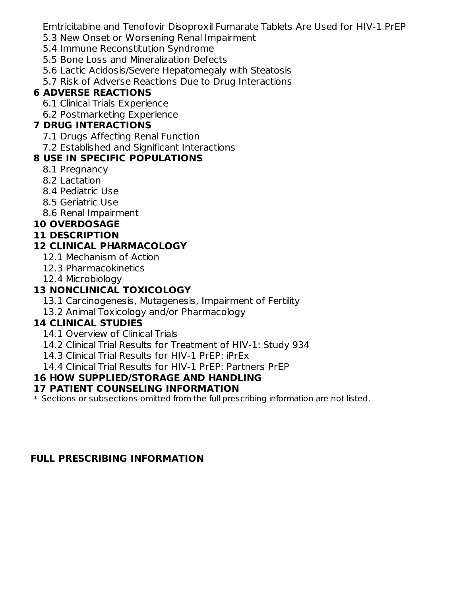Emtricitabine and Tenofovir Disoproxil Fumarate Tablets Are Used for HIV-1 PrEP

- 5.3 New Onset or Worsening Renal Impairment
- 5.4 Immune Reconstitution Syndrome
- 5.5 Bone Loss and Mineralization Defects
- 5.6 Lactic Acidosis/Severe Hepatomegaly with Steatosis
- 5.7 Risk of Adverse Reactions Due to Drug Interactions

# **6 ADVERSE REACTIONS**

- 6.1 Clinical Trials Experience
- 6.2 Postmarketing Experience

# **7 DRUG INTERACTIONS**

- 7.1 Drugs Affecting Renal Function
- 7.2 Established and Significant Interactions

# **8 USE IN SPECIFIC POPULATIONS**

- 8.1 Pregnancy
- 8.2 Lactation
- 8.4 Pediatric Use
- 8.5 Geriatric Use
- 8.6 Renal Impairment

# **10 OVERDOSAGE**

# **11 DESCRIPTION**

# **12 CLINICAL PHARMACOLOGY**

- 12.1 Mechanism of Action
- 12.3 Pharmacokinetics
- 12.4 Microbiology

# **13 NONCLINICAL TOXICOLOGY**

- 13.1 Carcinogenesis, Mutagenesis, Impairment of Fertility
- 13.2 Animal Toxicology and/or Pharmacology

# **14 CLINICAL STUDIES**

- 14.1 Overview of Clinical Trials
- 14.2 Clinical Trial Results for Treatment of HIV-1: Study 934
- 14.3 Clinical Trial Results for HIV-1 PrEP: iPrEx
- 14.4 Clinical Trial Results for HIV-1 PrEP: Partners PrEP

# **16 HOW SUPPLIED/STORAGE AND HANDLING**

## **17 PATIENT COUNSELING INFORMATION**

 $\ast$  Sections or subsections omitted from the full prescribing information are not listed.

# **FULL PRESCRIBING INFORMATION**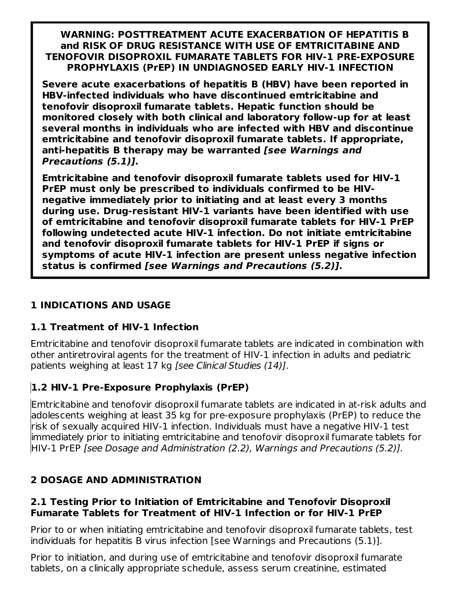#### **WARNING: POSTTREATMENT ACUTE EXACERBATION OF HEPATITIS B and RISK OF DRUG RESISTANCE WITH USE OF EMTRICITABINE AND TENOFOVIR DISOPROXIL FUMARATE TABLETS FOR HIV-1 PRE-EXPOSURE PROPHYLAXIS (PrEP) IN UNDIAGNOSED EARLY HIV-1 INFECTION**

**Severe acute exacerbations of hepatitis B (HBV) have been reported in HBV-infected individuals who have discontinued emtricitabine and tenofovir disoproxil fumarate tablets. Hepatic function should be monitored closely with both clinical and laboratory follow-up for at least several months in individuals who are infected with HBV and discontinue emtricitabine and tenofovir disoproxil fumarate tablets. If appropriate, anti-hepatitis B therapy may be warranted [see Warnings and Precautions (5.1)].**

**Emtricitabine and tenofovir disoproxil fumarate tablets used for HIV-1 PrEP must only be prescribed to individuals confirmed to be HIVnegative immediately prior to initiating and at least every 3 months during use. Drug-resistant HIV-1 variants have been identified with use of emtricitabine and tenofovir disoproxil fumarate tablets for HIV-1 PrEP following undetected acute HIV-1 infection. Do not initiate emtricitabine and tenofovir disoproxil fumarate tablets for HIV-1 PrEP if signs or symptoms of acute HIV-1 infection are present unless negative infection status is confirmed [see Warnings and Precautions (5.2)].**

## **1 INDICATIONS AND USAGE**

## **1.1 Treatment of HIV-1 Infection**

Emtricitabine and tenofovir disoproxil fumarate tablets are indicated in combination with other antiretroviral agents for the treatment of HIV-1 infection in adults and pediatric patients weighing at least 17 kg [see Clinical Studies (14)].

# **1.2 HIV-1 Pre-Exposure Prophylaxis (PrEP)**

Emtricitabine and tenofovir disoproxil fumarate tablets are indicated in at-risk adults and adolescents weighing at least 35 kg for pre-exposure prophylaxis (PrEP) to reduce the risk of sexually acquired HIV-1 infection. Individuals must have a negative HIV-1 test immediately prior to initiating emtricitabine and tenofovir disoproxil fumarate tablets for HIV-1 PrEP [see Dosage and Administration (2.2), Warnings and Precautions (5.2)].

## **2 DOSAGE AND ADMINISTRATION**

#### **2.1 Testing Prior to Initiation of Emtricitabine and Tenofovir Disoproxil Fumarate Tablets for Treatment of HIV-1 Infection or for HIV-1 PrEP**

Prior to or when initiating emtricitabine and tenofovir disoproxil fumarate tablets, test individuals for hepatitis B virus infection [see Warnings and Precautions (5.1)].

Prior to initiation, and during use of emtricitabine and tenofovir disoproxil fumarate tablets, on a clinically appropriate schedule, assess serum creatinine, estimated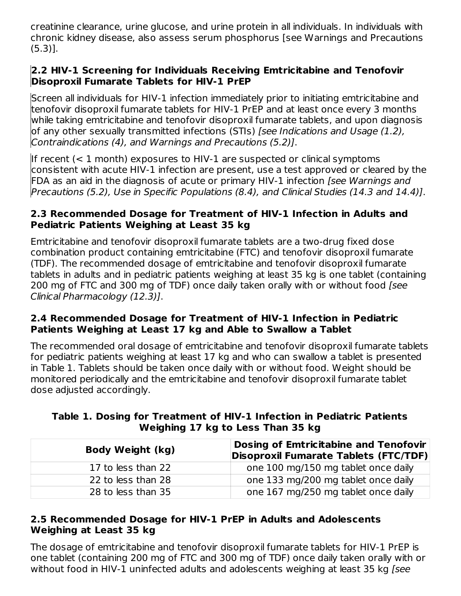creatinine clearance, urine glucose, and urine protein in all individuals. In individuals with chronic kidney disease, also assess serum phosphorus [see Warnings and Precautions (5.3)].

### **2.2 HIV-1 Screening for Individuals Receiving Emtricitabine and Tenofovir Disoproxil Fumarate Tablets for HIV-1 PrEP**

Screen all individuals for HIV-1 infection immediately prior to initiating emtricitabine and tenofovir disoproxil fumarate tablets for HIV-1 PrEP and at least once every 3 months while taking emtricitabine and tenofovir disoproxil fumarate tablets, and upon diagnosis of any other sexually transmitted infections (STIs) [see Indications and Usage (1.2), Contraindications (4), and Warnings and Precautions (5.2)].

If recent (< 1 month) exposures to HIV-1 are suspected or clinical symptoms consistent with acute HIV-1 infection are present, use a test approved or cleared by the FDA as an aid in the diagnosis of acute or primary HIV-1 infection [see Warnings and Precautions (5.2), Use in Specific Populations (8.4), and Clinical Studies (14.3 and 14.4)].

#### **2.3 Recommended Dosage for Treatment of HIV-1 Infection in Adults and Pediatric Patients Weighing at Least 35 kg**

Emtricitabine and tenofovir disoproxil fumarate tablets are a two-drug fixed dose combination product containing emtricitabine (FTC) and tenofovir disoproxil fumarate (TDF). The recommended dosage of emtricitabine and tenofovir disoproxil fumarate tablets in adults and in pediatric patients weighing at least 35 kg is one tablet (containing 200 mg of FTC and 300 mg of TDF) once daily taken orally with or without food [see Clinical Pharmacology (12.3)].

#### **2.4 Recommended Dosage for Treatment of HIV-1 Infection in Pediatric Patients Weighing at Least 17 kg and Able to Swallow a Tablet**

The recommended oral dosage of emtricitabine and tenofovir disoproxil fumarate tablets for pediatric patients weighing at least 17 kg and who can swallow a tablet is presented in Table 1. Tablets should be taken once daily with or without food. Weight should be monitored periodically and the emtricitabine and tenofovir disoproxil fumarate tablet dose adjusted accordingly.

| <b>Body Weight (kg)</b> | Dosing of Emtricitabine and Tenofovir<br>Disoproxil Fumarate Tablets (FTC/TDF) |
|-------------------------|--------------------------------------------------------------------------------|
| 17 to less than 22      | one 100 mg/150 mg tablet once daily                                            |
| 22 to less than 28      | one 133 mg/200 mg tablet once daily                                            |
| 28 to less than 35      | one 167 mg/250 mg tablet once daily                                            |

## **Table 1. Dosing for Treatment of HIV-1 Infection in Pediatric Patients Weighing 17 kg to Less Than 35 kg**

## **2.5 Recommended Dosage for HIV-1 PrEP in Adults and Adolescents Weighing at Least 35 kg**

The dosage of emtricitabine and tenofovir disoproxil fumarate tablets for HIV-1 PrEP is one tablet (containing 200 mg of FTC and 300 mg of TDF) once daily taken orally with or without food in HIV-1 uninfected adults and adolescents weighing at least 35 kg *[see*]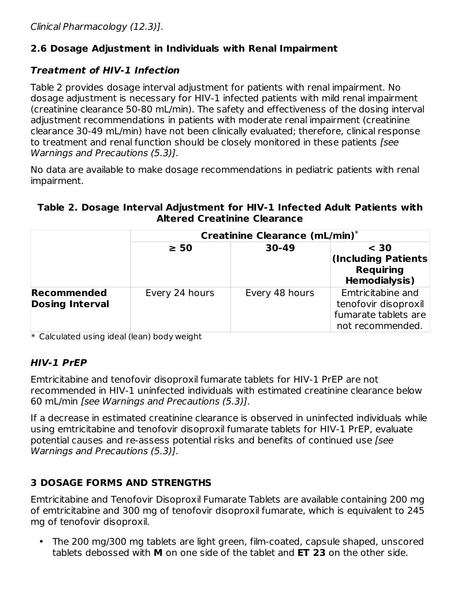# **2.6 Dosage Adjustment in Individuals with Renal Impairment**

## **Treatment of HIV-1 Infection**

Table 2 provides dosage interval adjustment for patients with renal impairment. No dosage adjustment is necessary for HIV-1 infected patients with mild renal impairment (creatinine clearance 50-80 mL/min). The safety and effectiveness of the dosing interval adjustment recommendations in patients with moderate renal impairment (creatinine clearance 30-49 mL/min) have not been clinically evaluated; therefore, clinical response to treatment and renal function should be closely monitored in these patients *[see*] Warnings and Precautions (5.3)].

No data are available to make dosage recommendations in pediatric patients with renal impairment.

## **Table 2. Dosage Interval Adjustment for HIV-1 Infected Adult Patients with Altered Creatinine Clearance**

|                                       | <b>Creatinine Clearance (mL/min)*</b> |                |                                                                                       |
|---------------------------------------|---------------------------------------|----------------|---------------------------------------------------------------------------------------|
|                                       | $\geq 50$                             | $30-49$        | $<$ 30<br>(Including Patients<br><b>Requiring</b><br><b>Hemodialysis)</b>             |
| Recommended<br><b>Dosing Interval</b> | Every 24 hours                        | Every 48 hours | Emtricitabine and<br>tenofovir disoproxil<br>fumarate tablets are<br>not recommended. |

 $\ast$  Calculated using ideal (lean) body weight

# **HIV-1 PrEP**

Emtricitabine and tenofovir disoproxil fumarate tablets for HIV-1 PrEP are not recommended in HIV-1 uninfected individuals with estimated creatinine clearance below 60 mL/min [see Warnings and Precautions (5.3)].

If a decrease in estimated creatinine clearance is observed in uninfected individuals while using emtricitabine and tenofovir disoproxil fumarate tablets for HIV-1 PrEP, evaluate potential causes and re-assess potential risks and benefits of continued use [see Warnings and Precautions (5.3)].

# **3 DOSAGE FORMS AND STRENGTHS**

Emtricitabine and Tenofovir Disoproxil Fumarate Tablets are available containing 200 mg of emtricitabine and 300 mg of tenofovir disoproxil fumarate, which is equivalent to 245 mg of tenofovir disoproxil.

• The 200 mg/300 mg tablets are light green, film-coated, capsule shaped, unscored tablets debossed with **M** on one side of the tablet and **ET 23** on the other side.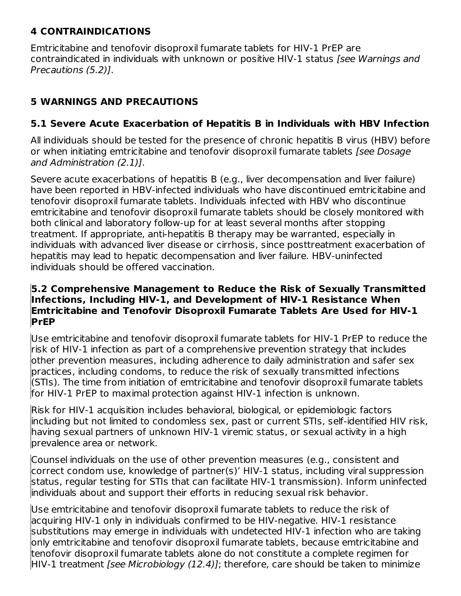## **4 CONTRAINDICATIONS**

Emtricitabine and tenofovir disoproxil fumarate tablets for HIV-1 PrEP are contraindicated in individuals with unknown or positive HIV-1 status [see Warnings and Precautions (5.2)].

# **5 WARNINGS AND PRECAUTIONS**

# **5.1 Severe Acute Exacerbation of Hepatitis B in Individuals with HBV Infection**

All individuals should be tested for the presence of chronic hepatitis B virus (HBV) before or when initiating emtricitabine and tenofovir disoproxil fumarate tablets [see Dosage] and Administration (2.1)].

Severe acute exacerbations of hepatitis B (e.g., liver decompensation and liver failure) have been reported in HBV-infected individuals who have discontinued emtricitabine and tenofovir disoproxil fumarate tablets. Individuals infected with HBV who discontinue emtricitabine and tenofovir disoproxil fumarate tablets should be closely monitored with both clinical and laboratory follow-up for at least several months after stopping treatment. If appropriate, anti-hepatitis B therapy may be warranted, especially in individuals with advanced liver disease or cirrhosis, since posttreatment exacerbation of hepatitis may lead to hepatic decompensation and liver failure. HBV-uninfected individuals should be offered vaccination.

#### **5.2 Comprehensive Management to Reduce the Risk of Sexually Transmitted Infections, Including HIV-1, and Development of HIV-1 Resistance When Emtricitabine and Tenofovir Disoproxil Fumarate Tablets Are Used for HIV-1 PrEP**

Use emtricitabine and tenofovir disoproxil fumarate tablets for HIV-1 PrEP to reduce the risk of HIV-1 infection as part of a comprehensive prevention strategy that includes other prevention measures, including adherence to daily administration and safer sex practices, including condoms, to reduce the risk of sexually transmitted infections (STIs). The time from initiation of emtricitabine and tenofovir disoproxil fumarate tablets for HIV-1 PrEP to maximal protection against HIV-1 infection is unknown.

Risk for HIV-1 acquisition includes behavioral, biological, or epidemiologic factors including but not limited to condomless sex, past or current STIs, self-identified HIV risk, having sexual partners of unknown HIV-1 viremic status, or sexual activity in a high prevalence area or network.

Counsel individuals on the use of other prevention measures (e.g., consistent and correct condom use, knowledge of partner(s)' HIV-1 status, including viral suppression status, regular testing for STIs that can facilitate HIV-1 transmission). Inform uninfected individuals about and support their efforts in reducing sexual risk behavior.

Use emtricitabine and tenofovir disoproxil fumarate tablets to reduce the risk of acquiring HIV-1 only in individuals confirmed to be HIV-negative. HIV-1 resistance substitutions may emerge in individuals with undetected HIV-1 infection who are taking only emtricitabine and tenofovir disoproxil fumarate tablets, because emtricitabine and tenofovir disoproxil fumarate tablets alone do not constitute a complete regimen for HIV-1 treatment *[see Microbiology (12.4)]*; therefore, care should be taken to minimize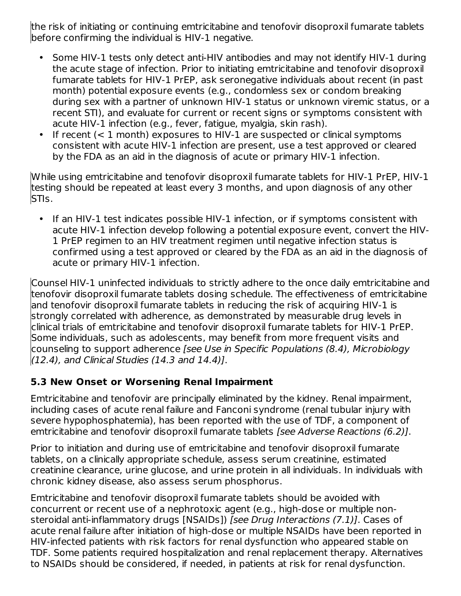the risk of initiating or continuing emtricitabine and tenofovir disoproxil fumarate tablets before confirming the individual is HIV-1 negative.

- Some HIV-1 tests only detect anti-HIV antibodies and may not identify HIV-1 during the acute stage of infection. Prior to initiating emtricitabine and tenofovir disoproxil fumarate tablets for HIV-1 PrEP, ask seronegative individuals about recent (in past month) potential exposure events (e.g., condomless sex or condom breaking during sex with a partner of unknown HIV-1 status or unknown viremic status, or a recent STI), and evaluate for current or recent signs or symptoms consistent with acute HIV-1 infection (e.g., fever, fatigue, myalgia, skin rash).
- If recent (< 1 month) exposures to HIV-1 are suspected or clinical symptoms consistent with acute HIV-1 infection are present, use a test approved or cleared by the FDA as an aid in the diagnosis of acute or primary HIV-1 infection.

While using emtricitabine and tenofovir disoproxil fumarate tablets for HIV-1 PrEP, HIV-1 testing should be repeated at least every 3 months, and upon diagnosis of any other STIs.

• If an HIV-1 test indicates possible HIV-1 infection, or if symptoms consistent with acute HIV-1 infection develop following a potential exposure event, convert the HIV-1 PrEP regimen to an HIV treatment regimen until negative infection status is confirmed using a test approved or cleared by the FDA as an aid in the diagnosis of acute or primary HIV-1 infection.

Counsel HIV-1 uninfected individuals to strictly adhere to the once daily emtricitabine and tenofovir disoproxil fumarate tablets dosing schedule. The effectiveness of emtricitabine and tenofovir disoproxil fumarate tablets in reducing the risk of acquiring HIV-1 is strongly correlated with adherence, as demonstrated by measurable drug levels in clinical trials of emtricitabine and tenofovir disoproxil fumarate tablets for HIV-1 PrEP. Some individuals, such as adolescents, may benefit from more frequent visits and counseling to support adherence [see Use in Specific Populations (8.4), Microbiology (12.4), and Clinical Studies (14.3 and 14.4)].

## **5.3 New Onset or Worsening Renal Impairment**

Emtricitabine and tenofovir are principally eliminated by the kidney. Renal impairment, including cases of acute renal failure and Fanconi syndrome (renal tubular injury with severe hypophosphatemia), has been reported with the use of TDF, a component of emtricitabine and tenofovir disoproxil fumarate tablets [see Adverse Reactions (6.2)].

Prior to initiation and during use of emtricitabine and tenofovir disoproxil fumarate tablets, on a clinically appropriate schedule, assess serum creatinine, estimated creatinine clearance, urine glucose, and urine protein in all individuals. In individuals with chronic kidney disease, also assess serum phosphorus.

Emtricitabine and tenofovir disoproxil fumarate tablets should be avoided with concurrent or recent use of a nephrotoxic agent (e.g., high-dose or multiple nonsteroidal anti-inflammatory drugs [NSAIDs]) [see Drug Interactions (7.1)]. Cases of acute renal failure after initiation of high-dose or multiple NSAIDs have been reported in HIV-infected patients with risk factors for renal dysfunction who appeared stable on TDF. Some patients required hospitalization and renal replacement therapy. Alternatives to NSAIDs should be considered, if needed, in patients at risk for renal dysfunction.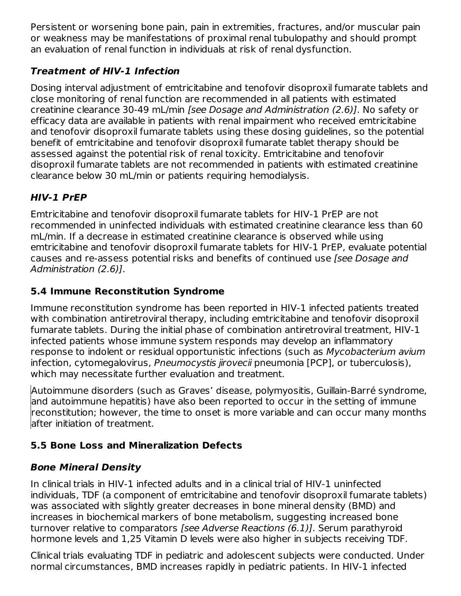Persistent or worsening bone pain, pain in extremities, fractures, and/or muscular pain or weakness may be manifestations of proximal renal tubulopathy and should prompt an evaluation of renal function in individuals at risk of renal dysfunction.

# **Treatment of HIV-1 Infection**

Dosing interval adjustment of emtricitabine and tenofovir disoproxil fumarate tablets and close monitoring of renal function are recommended in all patients with estimated creatinine clearance 30-49 mL/min [see Dosage and Administration (2.6)]. No safety or efficacy data are available in patients with renal impairment who received emtricitabine and tenofovir disoproxil fumarate tablets using these dosing guidelines, so the potential benefit of emtricitabine and tenofovir disoproxil fumarate tablet therapy should be assessed against the potential risk of renal toxicity. Emtricitabine and tenofovir disoproxil fumarate tablets are not recommended in patients with estimated creatinine clearance below 30 mL/min or patients requiring hemodialysis.

# **HIV-1 PrEP**

Emtricitabine and tenofovir disoproxil fumarate tablets for HIV-1 PrEP are not recommended in uninfected individuals with estimated creatinine clearance less than 60 mL/min. If a decrease in estimated creatinine clearance is observed while using emtricitabine and tenofovir disoproxil fumarate tablets for HIV-1 PrEP, evaluate potential causes and re-assess potential risks and benefits of continued use [see Dosage and Administration (2.6)].

# **5.4 Immune Reconstitution Syndrome**

Immune reconstitution syndrome has been reported in HIV-1 infected patients treated with combination antiretroviral therapy, including emtricitabine and tenofovir disoproxil fumarate tablets. During the initial phase of combination antiretroviral treatment, HIV-1 infected patients whose immune system responds may develop an inflammatory response to indolent or residual opportunistic infections (such as Mycobacterium avium infection, cytomegalovirus, Pneumocystis jirovecii pneumonia [PCP], or tuberculosis), which may necessitate further evaluation and treatment.

Autoimmune disorders (such as Graves' disease, polymyositis, Guillain-Barré syndrome, and autoimmune hepatitis) have also been reported to occur in the setting of immune reconstitution; however, the time to onset is more variable and can occur many months after initiation of treatment.

# **5.5 Bone Loss and Mineralization Defects**

# **Bone Mineral Density**

In clinical trials in HIV-1 infected adults and in a clinical trial of HIV-1 uninfected individuals, TDF (a component of emtricitabine and tenofovir disoproxil fumarate tablets) was associated with slightly greater decreases in bone mineral density (BMD) and increases in biochemical markers of bone metabolism, suggesting increased bone turnover relative to comparators [see Adverse Reactions (6.1)]. Serum parathyroid hormone levels and 1,25 Vitamin D levels were also higher in subjects receiving TDF.

Clinical trials evaluating TDF in pediatric and adolescent subjects were conducted. Under normal circumstances, BMD increases rapidly in pediatric patients. In HIV-1 infected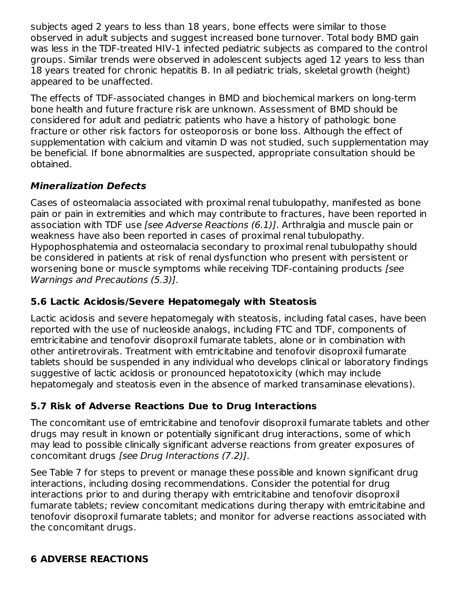subjects aged 2 years to less than 18 years, bone effects were similar to those observed in adult subjects and suggest increased bone turnover. Total body BMD gain was less in the TDF-treated HIV-1 infected pediatric subjects as compared to the control groups. Similar trends were observed in adolescent subjects aged 12 years to less than 18 years treated for chronic hepatitis B. In all pediatric trials, skeletal growth (height) appeared to be unaffected.

The effects of TDF-associated changes in BMD and biochemical markers on long-term bone health and future fracture risk are unknown. Assessment of BMD should be considered for adult and pediatric patients who have a history of pathologic bone fracture or other risk factors for osteoporosis or bone loss. Although the effect of supplementation with calcium and vitamin D was not studied, such supplementation may be beneficial. If bone abnormalities are suspected, appropriate consultation should be obtained.

# **Mineralization Defects**

Cases of osteomalacia associated with proximal renal tubulopathy, manifested as bone pain or pain in extremities and which may contribute to fractures, have been reported in association with TDF use [see Adverse Reactions (6.1)]. Arthralgia and muscle pain or weakness have also been reported in cases of proximal renal tubulopathy. Hypophosphatemia and osteomalacia secondary to proximal renal tubulopathy should be considered in patients at risk of renal dysfunction who present with persistent or worsening bone or muscle symptoms while receiving TDF-containing products [see Warnings and Precautions (5.3)].

# **5.6 Lactic Acidosis/Severe Hepatomegaly with Steatosis**

Lactic acidosis and severe hepatomegaly with steatosis, including fatal cases, have been reported with the use of nucleoside analogs, including FTC and TDF, components of emtricitabine and tenofovir disoproxil fumarate tablets, alone or in combination with other antiretrovirals. Treatment with emtricitabine and tenofovir disoproxil fumarate tablets should be suspended in any individual who develops clinical or laboratory findings suggestive of lactic acidosis or pronounced hepatotoxicity (which may include hepatomegaly and steatosis even in the absence of marked transaminase elevations).

# **5.7 Risk of Adverse Reactions Due to Drug Interactions**

The concomitant use of emtricitabine and tenofovir disoproxil fumarate tablets and other drugs may result in known or potentially significant drug interactions, some of which may lead to possible clinically significant adverse reactions from greater exposures of concomitant drugs [see Drug Interactions (7.2)].

See Table 7 for steps to prevent or manage these possible and known significant drug interactions, including dosing recommendations. Consider the potential for drug interactions prior to and during therapy with emtricitabine and tenofovir disoproxil fumarate tablets; review concomitant medications during therapy with emtricitabine and tenofovir disoproxil fumarate tablets; and monitor for adverse reactions associated with the concomitant drugs.

## **6 ADVERSE REACTIONS**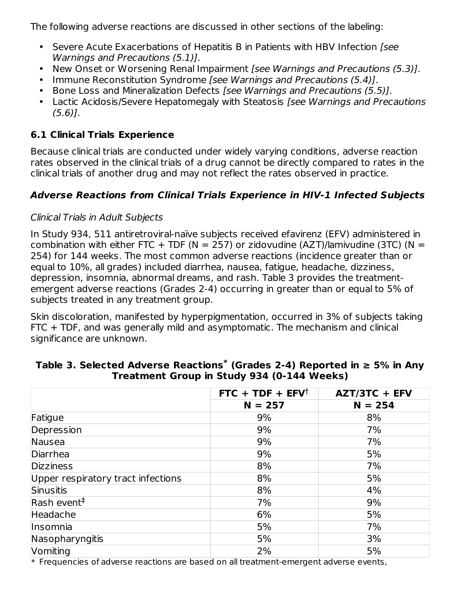The following adverse reactions are discussed in other sections of the labeling:

- Severe Acute Exacerbations of Hepatitis B in Patients with HBV Infection [see Warnings and Precautions (5.1)].
- New Onset or Worsening Renal Impairment [see Warnings and Precautions (5.3)].
- Immune Reconstitution Syndrome [see Warnings and Precautions (5.4)].
- Bone Loss and Mineralization Defects [see Warnings and Precautions (5.5)].
- Lactic Acidosis/Severe Hepatomegaly with Steatosis [see Warnings and Precautions (5.6)].

# **6.1 Clinical Trials Experience**

Because clinical trials are conducted under widely varying conditions, adverse reaction rates observed in the clinical trials of a drug cannot be directly compared to rates in the clinical trials of another drug and may not reflect the rates observed in practice.

# **Adverse Reactions from Clinical Trials Experience in HIV-1 Infected Subjects**

## Clinical Trials in Adult Subjects

In Study 934, 511 antiretroviral-naïve subjects received efavirenz (EFV) administered in combination with either FTC + TDF ( $N = 257$ ) or zidovudine (AZT)/lamivudine (3TC) ( $N =$ 254) for 144 weeks. The most common adverse reactions (incidence greater than or equal to 10%, all grades) included diarrhea, nausea, fatigue, headache, dizziness, depression, insomnia, abnormal dreams, and rash. Table 3 provides the treatmentemergent adverse reactions (Grades 2-4) occurring in greater than or equal to 5% of subjects treated in any treatment group.

Skin discoloration, manifested by hyperpigmentation, occurred in 3% of subjects taking FTC + TDF, and was generally mild and asymptomatic. The mechanism and clinical significance are unknown.

|                                                                      | $FTC + TDF + EFV^{\dagger}$                                                                 | AZT/3TC + EFV |
|----------------------------------------------------------------------|---------------------------------------------------------------------------------------------|---------------|
|                                                                      | $N = 257$                                                                                   | $N = 254$     |
| Fatigue                                                              | 9%                                                                                          | 8%            |
| Depression                                                           | 9%                                                                                          | 7%            |
| Nausea                                                               | 9%                                                                                          | 7%            |
| Diarrhea                                                             | 9%                                                                                          | 5%            |
| <b>Dizziness</b>                                                     | 8%                                                                                          | 7%            |
| Upper respiratory tract infections                                   | 8%                                                                                          | 5%            |
| Sinusitis                                                            | 8%                                                                                          | 4%            |
| Rash event <sup>#</sup>                                              | 7%                                                                                          | 9%            |
| Headache                                                             | 6%                                                                                          | 5%            |
| Insomnia                                                             | 5%                                                                                          | 7%            |
| Nasopharyngitis                                                      | 5%                                                                                          | 3%            |
| Vomiting<br>also Francisco de Alemania de Alemania e estadounidense. | 2%<br>والمتحالي والمستحدث والمتحاول والمتحدث وللمناسب المتحال المتحارب والمتحدث والمتحاولات | 5%            |

## **Table 3. Selected Adverse Reactions (Grades 2-4) Reported in ≥ 5% in Any \* Treatment Group in Study 934 (0-144 Weeks)**

 $\ast$  Frequencies of adverse reactions are based on all treatment-emergent adverse events,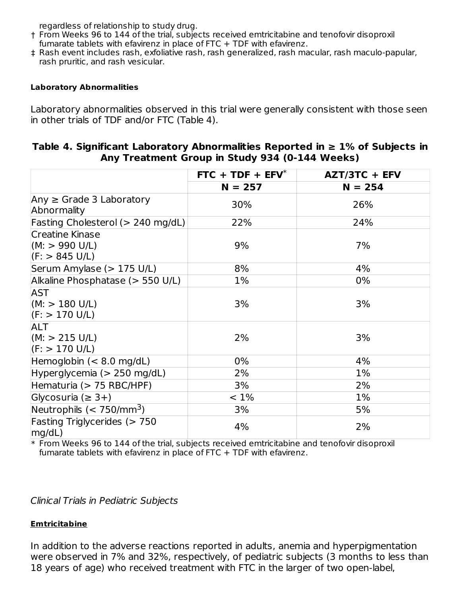regardless of relationship to study drug.

- † From Weeks 96 to 144 of the trial, subjects received emtricitabine and tenofovir disoproxil fumarate tablets with efavirenz in place of FTC + TDF with efavirenz.
- ‡ Rash event includes rash, exfoliative rash, rash generalized, rash macular, rash maculo-papular, rash pruritic, and rash vesicular.

#### **Laboratory Abnormalities**

Laboratory abnormalities observed in this trial were generally consistent with those seen in other trials of TDF and/or FTC (Table 4).

#### **Table 4. Significant Laboratory Abnormalities Reported in ≥ 1% of Subjects in Any Treatment Group in Study 934 (0-144 Weeks)**

|                                                                      | $FTC + TDF + EFV^*$ | AZT/3TC + EFV |
|----------------------------------------------------------------------|---------------------|---------------|
|                                                                      | $N = 257$           | $N = 254$     |
| Any $\geq$ Grade 3 Laboratory<br>Abnormality                         | 30%                 | 26%           |
| Fasting Cholesterol (> 240 mg/dL)                                    | 22%                 | 24%           |
| <b>Creatine Kinase</b><br>(M: > 990 U/L)<br>$(F: > 845 \text{ U/L})$ | 9%                  | 7%            |
| Serum Amylase (> 175 U/L)                                            | 8%                  | 4%            |
| Alkaline Phosphatase (> 550 U/L)                                     | 1%                  | $0\%$         |
| <b>AST</b><br>$(M: > 180 \text{ U/L})$<br>$(F: > 170 \text{ U/L})$   | 3%                  | 3%            |
| <b>ALT</b><br>$(M: > 215 \text{ U/L})$<br>(F: > 170 U/L)             | 2%                  | 3%            |
| Hemoglobin $(< 8.0$ mg/dL)                                           | $0\%$               | 4%            |
| Hyperglycemia ( $> 250$ mg/dL)                                       | 2%                  | $1\%$         |
| Hematuria (> 75 RBC/HPF)                                             | 3%                  | 2%            |
| Glycosuria ( $\geq$ 3+)                                              | $< 1\%$             | 1%            |
| Neutrophils $(< 750/mm3)$                                            | 3%                  | 5%            |
| Fasting Triglycerides $(> 750$<br>mg/dL)                             | 4%                  | 2%            |

\* From Weeks 96 to 144 of the trial, subjects received emtricitabine and tenofovir disoproxil fumarate tablets with efavirenz in place of FTC + TDF with efavirenz.

Clinical Trials in Pediatric Subjects

#### **Emtricitabine**

In addition to the adverse reactions reported in adults, anemia and hyperpigmentation were observed in 7% and 32%, respectively, of pediatric subjects (3 months to less than 18 years of age) who received treatment with FTC in the larger of two open-label,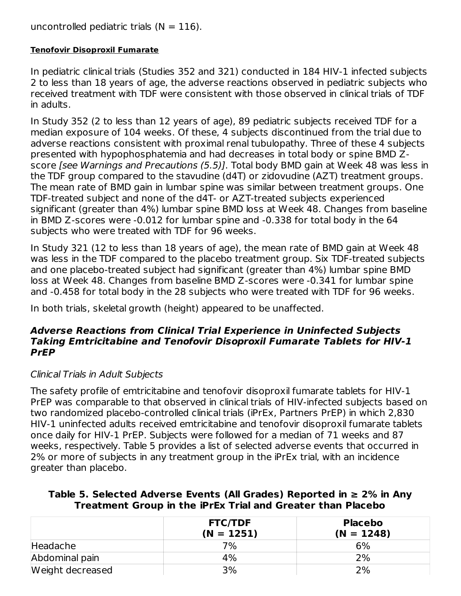uncontrolled pediatric trials  $(N = 116)$ .

#### **Tenofovir Disoproxil Fumarate**

In pediatric clinical trials (Studies 352 and 321) conducted in 184 HIV-1 infected subjects 2 to less than 18 years of age, the adverse reactions observed in pediatric subjects who received treatment with TDF were consistent with those observed in clinical trials of TDF in adults.

In Study 352 (2 to less than 12 years of age), 89 pediatric subjects received TDF for a median exposure of 104 weeks. Of these, 4 subjects discontinued from the trial due to adverse reactions consistent with proximal renal tubulopathy. Three of these 4 subjects presented with hypophosphatemia and had decreases in total body or spine BMD Zscore [see Warnings and Precautions (5.5)]. Total body BMD gain at Week 48 was less in the TDF group compared to the stavudine (d4T) or zidovudine (AZT) treatment groups. The mean rate of BMD gain in lumbar spine was similar between treatment groups. One TDF-treated subject and none of the d4T- or AZT-treated subjects experienced significant (greater than 4%) lumbar spine BMD loss at Week 48. Changes from baseline in BMD Z-scores were -0.012 for lumbar spine and -0.338 for total body in the 64 subjects who were treated with TDF for 96 weeks.

In Study 321 (12 to less than 18 years of age), the mean rate of BMD gain at Week 48 was less in the TDF compared to the placebo treatment group. Six TDF-treated subjects and one placebo-treated subject had significant (greater than 4%) lumbar spine BMD loss at Week 48. Changes from baseline BMD Z-scores were -0.341 for lumbar spine and -0.458 for total body in the 28 subjects who were treated with TDF for 96 weeks.

In both trials, skeletal growth (height) appeared to be unaffected.

#### **Adverse Reactions from Clinical Trial Experience in Uninfected Subjects Taking Emtricitabine and Tenofovir Disoproxil Fumarate Tablets for HIV-1 PrEP**

### Clinical Trials in Adult Subjects

The safety profile of emtricitabine and tenofovir disoproxil fumarate tablets for HIV-1 PrEP was comparable to that observed in clinical trials of HIV-infected subjects based on two randomized placebo-controlled clinical trials (iPrEx, Partners PrEP) in which 2,830 HIV-1 uninfected adults received emtricitabine and tenofovir disoproxil fumarate tablets once daily for HIV-1 PrEP. Subjects were followed for a median of 71 weeks and 87 weeks, respectively. Table 5 provides a list of selected adverse events that occurred in 2% or more of subjects in any treatment group in the iPrEx trial, with an incidence greater than placebo.

**Table 5. Selected Adverse Events (All Grades) Reported in ≥ 2% in Any Treatment Group in the iPrEx Trial and Greater than Placebo**

|                  | <b>FTC/TDF</b> | <b>Placebo</b> |
|------------------|----------------|----------------|
|                  | $(N = 1251)$   | $(N = 1248)$   |
| Headache         | 7%             | 6%             |
| Abdominal pain   | 4%             | 2%             |
| Weight decreased | 3%             | 2%             |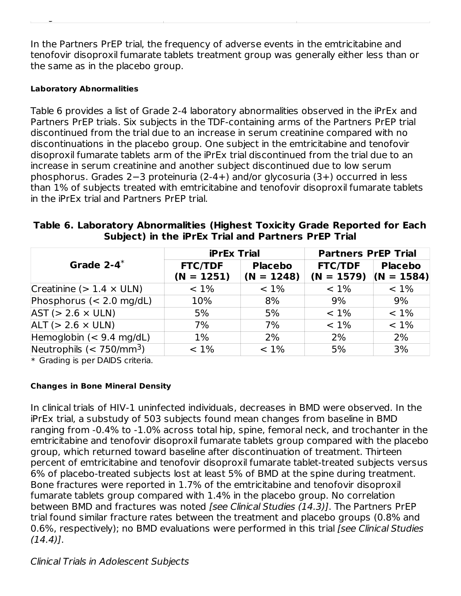In the Partners PrEP trial, the frequency of adverse events in the emtricitabine and tenofovir disoproxil fumarate tablets treatment group was generally either less than or the same as in the placebo group.

Weight decreased 3% 2%

#### **Laboratory Abnormalities**

Table 6 provides a list of Grade 2-4 laboratory abnormalities observed in the iPrEx and Partners PrEP trials. Six subjects in the TDF-containing arms of the Partners PrEP trial discontinued from the trial due to an increase in serum creatinine compared with no discontinuations in the placebo group. One subject in the emtricitabine and tenofovir disoproxil fumarate tablets arm of the iPrEx trial discontinued from the trial due to an increase in serum creatinine and another subject discontinued due to low serum phosphorus. Grades 2−3 proteinuria (2-4+) and/or glycosuria (3+) occurred in less than 1% of subjects treated with emtricitabine and tenofovir disoproxil fumarate tablets in the iPrEx trial and Partners PrEP trial.

| Table 6. Laboratory Abnormalities (Highest Toxicity Grade Reported for Each |  |  |
|-----------------------------------------------------------------------------|--|--|
| Subject) in the iPrEx Trial and Partners PrEP Trial                         |  |  |

|                                   | <b>iPrEx Trial</b>             |                                | <b>Partners PrEP Trial</b>                  |                |
|-----------------------------------|--------------------------------|--------------------------------|---------------------------------------------|----------------|
| Grade $2-4$ <sup>*</sup>          | <b>FTC/TDF</b><br>$(N = 1251)$ | <b>Placebo</b><br>$(N = 1248)$ | <b>FTC/TDF</b><br>$(N = 1579)$ $(N = 1584)$ | <b>Placebo</b> |
| Creatinine ( $> 1.4 \times$ ULN)  | $< 1\%$                        | $< 1\%$                        | $< 1\%$                                     | $< 1\%$        |
| Phosphorus $(< 2.0$ mg/dL)        | 10%                            | 8%                             | 9%                                          | 9%             |
| $AST (> 2.6 \times ULN)$          | 5%                             | 5%                             | $< 1\%$                                     | $< 1\%$        |
| $ALT (> 2.6 \times ULN)$          | 7%                             | 7%                             | $< 1\%$                                     | $< 1\%$        |
| Hemoglobin $(< 9.4$ mg/dL)        | $1\%$                          | 2%                             | 2%                                          | 2%             |
| Neutrophils $(< 750/\text{mm}^3)$ | $< 1\%$                        | $< 1\%$                        | 5%                                          | 3%             |

\* Grading is per DAIDS criteria.

#### **Changes in Bone Mineral Density**

In clinical trials of HIV-1 uninfected individuals, decreases in BMD were observed. In the iPrEx trial, a substudy of 503 subjects found mean changes from baseline in BMD ranging from -0.4% to -1.0% across total hip, spine, femoral neck, and trochanter in the emtricitabine and tenofovir disoproxil fumarate tablets group compared with the placebo group, which returned toward baseline after discontinuation of treatment. Thirteen percent of emtricitabine and tenofovir disoproxil fumarate tablet-treated subjects versus 6% of placebo-treated subjects lost at least 5% of BMD at the spine during treatment. Bone fractures were reported in 1.7% of the emtricitabine and tenofovir disoproxil fumarate tablets group compared with 1.4% in the placebo group. No correlation between BMD and fractures was noted [see Clinical Studies (14.3)]. The Partners PrEP trial found similar fracture rates between the treatment and placebo groups (0.8% and 0.6%, respectively); no BMD evaluations were performed in this trial [see Clinical Studies  $(14.4)$ ].

Clinical Trials in Adolescent Subjects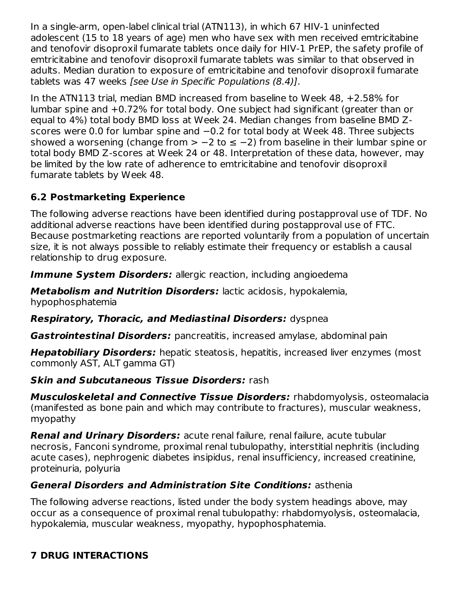In a single-arm, open-label clinical trial (ATN113), in which 67 HIV-1 uninfected adolescent (15 to 18 years of age) men who have sex with men received emtricitabine and tenofovir disoproxil fumarate tablets once daily for HIV-1 PrEP, the safety profile of emtricitabine and tenofovir disoproxil fumarate tablets was similar to that observed in adults. Median duration to exposure of emtricitabine and tenofovir disoproxil fumarate tablets was 47 weeks [see Use in Specific Populations (8.4)].

In the ATN113 trial, median BMD increased from baseline to Week 48, +2.58% for lumbar spine and +0.72% for total body. One subject had significant (greater than or equal to 4%) total body BMD loss at Week 24. Median changes from baseline BMD Zscores were 0.0 for lumbar spine and −0.2 for total body at Week 48. Three subjects showed a worsening (change from > -2 to ≤ -2) from baseline in their lumbar spine or total body BMD Z-scores at Week 24 or 48. Interpretation of these data, however, may be limited by the low rate of adherence to emtricitabine and tenofovir disoproxil fumarate tablets by Week 48.

# **6.2 Postmarketing Experience**

The following adverse reactions have been identified during postapproval use of TDF. No additional adverse reactions have been identified during postapproval use of FTC. Because postmarketing reactions are reported voluntarily from a population of uncertain size, it is not always possible to reliably estimate their frequency or establish a causal relationship to drug exposure.

**Immune System Disorders:** allergic reaction, including angioedema

**Metabolism and Nutrition Disorders:** lactic acidosis, hypokalemia, hypophosphatemia

**Respiratory, Thoracic, and Mediastinal Disorders:** dyspnea

**Gastrointestinal Disorders:** pancreatitis, increased amylase, abdominal pain

**Hepatobiliary Disorders:** hepatic steatosis, hepatitis, increased liver enzymes (most commonly AST, ALT gamma GT)

# **Skin and Subcutaneous Tissue Disorders:** rash

**Musculoskeletal and Connective Tissue Disorders:** rhabdomyolysis, osteomalacia (manifested as bone pain and which may contribute to fractures), muscular weakness, myopathy

**Renal and Urinary Disorders:** acute renal failure, renal failure, acute tubular necrosis, Fanconi syndrome, proximal renal tubulopathy, interstitial nephritis (including acute cases), nephrogenic diabetes insipidus, renal insufficiency, increased creatinine, proteinuria, polyuria

# **General Disorders and Administration Site Conditions:** asthenia

The following adverse reactions, listed under the body system headings above, may occur as a consequence of proximal renal tubulopathy: rhabdomyolysis, osteomalacia, hypokalemia, muscular weakness, myopathy, hypophosphatemia.

# **7 DRUG INTERACTIONS**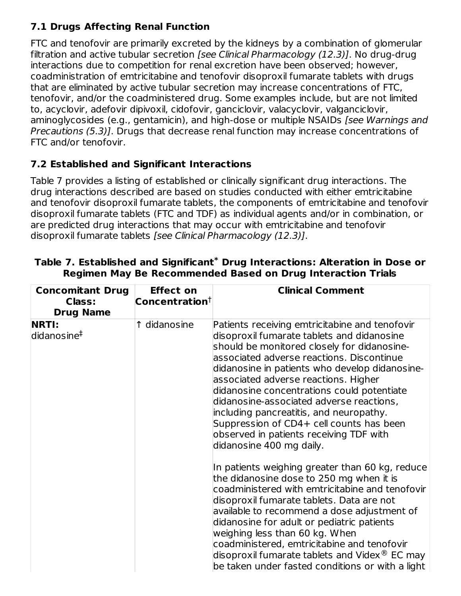# **7.1 Drugs Affecting Renal Function**

FTC and tenofovir are primarily excreted by the kidneys by a combination of glomerular filtration and active tubular secretion [see Clinical Pharmacology (12.3)]. No drug-drug interactions due to competition for renal excretion have been observed; however, coadministration of emtricitabine and tenofovir disoproxil fumarate tablets with drugs that are eliminated by active tubular secretion may increase concentrations of FTC, tenofovir, and/or the coadministered drug. Some examples include, but are not limited to, acyclovir, adefovir dipivoxil, cidofovir, ganciclovir, valacyclovir, valganciclovir, aminoglycosides (e.g., gentamicin), and high-dose or multiple NSAIDs [see Warnings and Precautions (5.3)]. Drugs that decrease renal function may increase concentrations of FTC and/or tenofovir.

# **7.2 Established and Significant Interactions**

Table 7 provides a listing of established or clinically significant drug interactions. The drug interactions described are based on studies conducted with either emtricitabine and tenofovir disoproxil fumarate tablets, the components of emtricitabine and tenofovir disoproxil fumarate tablets (FTC and TDF) as individual agents and/or in combination, or are predicted drug interactions that may occur with emtricitabine and tenofovir disoproxil fumarate tablets [see Clinical Pharmacology (12.3)].

| <b>Effect on</b>               | <b>Clinical Comment</b>                                                                                                                                                                                                                                                                                                                                                                                                                                                                                                                                                                                                                                                                                                                                                                                                                                                                                                                                                                                                                  |
|--------------------------------|------------------------------------------------------------------------------------------------------------------------------------------------------------------------------------------------------------------------------------------------------------------------------------------------------------------------------------------------------------------------------------------------------------------------------------------------------------------------------------------------------------------------------------------------------------------------------------------------------------------------------------------------------------------------------------------------------------------------------------------------------------------------------------------------------------------------------------------------------------------------------------------------------------------------------------------------------------------------------------------------------------------------------------------|
| $\sf{Concentration^{\dagger}}$ |                                                                                                                                                                                                                                                                                                                                                                                                                                                                                                                                                                                                                                                                                                                                                                                                                                                                                                                                                                                                                                          |
| 1 didanosine                   | Patients receiving emtricitabine and tenofovir<br>disoproxil fumarate tablets and didanosine<br>should be monitored closely for didanosine-<br>associated adverse reactions. Discontinue<br>didanosine in patients who develop didanosine-<br>associated adverse reactions. Higher<br>didanosine concentrations could potentiate<br>didanosine-associated adverse reactions,<br>including pancreatitis, and neuropathy.<br>Suppression of CD4+ cell counts has been<br>observed in patients receiving TDF with<br>didanosine 400 mg daily.<br>In patients weighing greater than 60 kg, reduce<br>the didanosine dose to 250 mg when it is<br>coadministered with emtricitabine and tenofovir<br>disoproxil fumarate tablets. Data are not<br>available to recommend a dose adjustment of<br>didanosine for adult or pediatric patients<br>weighing less than 60 kg. When<br>coadministered, emtricitabine and tenofovir<br>disoproxil fumarate tablets and Videx $^\circledR$ EC may<br>be taken under fasted conditions or with a light |
|                                |                                                                                                                                                                                                                                                                                                                                                                                                                                                                                                                                                                                                                                                                                                                                                                                                                                                                                                                                                                                                                                          |

**Table 7. Established and Significant Drug Interactions: Alteration in Dose or \* Regimen May Be Recommended Based on Drug Interaction Trials**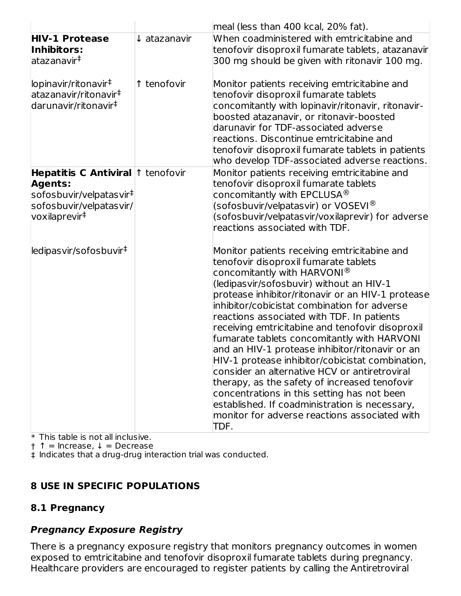|                                                                                                                                                    |                         | $ $ meal (less than 400 kcal, 20% fat).                                                                                                                                                                                                                                                                                                                                                                                                                                                                                                                                                                                                                                                                                                                                                                 |
|----------------------------------------------------------------------------------------------------------------------------------------------------|-------------------------|---------------------------------------------------------------------------------------------------------------------------------------------------------------------------------------------------------------------------------------------------------------------------------------------------------------------------------------------------------------------------------------------------------------------------------------------------------------------------------------------------------------------------------------------------------------------------------------------------------------------------------------------------------------------------------------------------------------------------------------------------------------------------------------------------------|
| <b>HIV-1 Protease</b><br>Inhibitors:<br>atazanavir‡                                                                                                | $\downarrow$ atazanavir | When coadministered with emtricitabine and<br>tenofovir disoproxil fumarate tablets, atazanavir<br>300 mg should be given with ritonavir 100 mg.                                                                                                                                                                                                                                                                                                                                                                                                                                                                                                                                                                                                                                                        |
| lopinavir/ritonavir <sup>‡</sup><br>atazanavir/ritonavir‡<br>darunavir/ritonavir <sup>‡</sup>                                                      | ↑ tenofovir             | Monitor patients receiving emtricitabine and<br>tenofovir disoproxil fumarate tablets<br>concomitantly with lopinavir/ritonavir, ritonavir-<br>boosted atazanavir, or ritonavir-boosted<br>darunavir for TDF-associated adverse<br>reactions. Discontinue emtricitabine and<br>tenofovir disoproxil fumarate tablets in patients<br>who develop TDF-associated adverse reactions.                                                                                                                                                                                                                                                                                                                                                                                                                       |
| Hepatitis C Antiviral 1 tenofovir<br><b>Agents:</b><br>sofosbuvir/velpatasvir <sup>‡</sup><br>sofosbuvir/velpatasvir/<br>voxilaprevir <sup>‡</sup> |                         | Monitor patients receiving emtricitabine and<br>tenofovir disoproxil fumarate tablets<br>concomitantly with EPCLUSA $^{\circledR}$<br>(sofosbuvir/velpatasvir) or VOSEVI®<br>(sofosbuvir/velpatasvir/voxilaprevir) for adverse<br>reactions associated with TDF.                                                                                                                                                                                                                                                                                                                                                                                                                                                                                                                                        |
| ledipasvir/sofosbuvir <sup>‡</sup>                                                                                                                 |                         | Monitor patients receiving emtricitabine and<br>tenofovir disoproxil fumarate tablets<br>concomitantly with HARVONI $^{\circledR}$<br>(ledipasvir/sofosbuvir) without an HIV-1<br>protease inhibitor/ritonavir or an HIV-1 protease<br>inhibitor/cobicistat combination for adverse<br>reactions associated with TDF. In patients<br>receiving emtricitabine and tenofovir disoproxil<br>fumarate tablets concomitantly with HARVONI<br>and an HIV-1 protease inhibitor/ritonavir or an<br>HIV-1 protease inhibitor/cobicistat combination,<br>consider an alternative HCV or antiretroviral<br>therapy, as the safety of increased tenofovir<br>concentrations in this setting has not been<br>established. If coadministration is necessary,<br>monitor for adverse reactions associated with<br>TDF. |

 $\ast$  This table is not all inclusive.

† ↑ = Increase, ↓ = Decrease

‡ Indicates that a drug-drug interaction trial was conducted.

### **8 USE IN SPECIFIC POPULATIONS**

### **8.1 Pregnancy**

### **Pregnancy Exposure Registry**

There is a pregnancy exposure registry that monitors pregnancy outcomes in women exposed to emtricitabine and tenofovir disoproxil fumarate tablets during pregnancy. Healthcare providers are encouraged to register patients by calling the Antiretroviral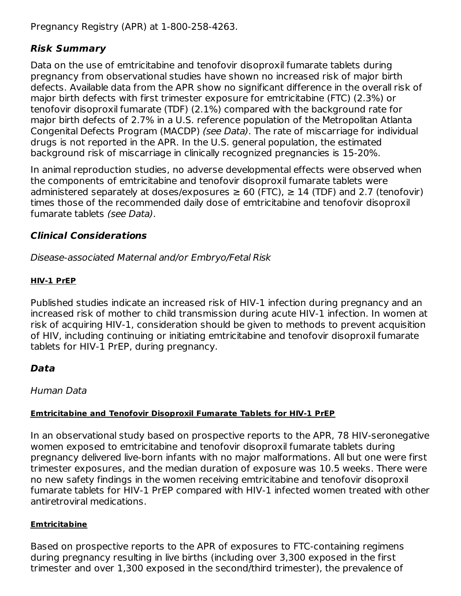Pregnancy Registry (APR) at 1-800-258-4263.

## **Risk Summary**

Data on the use of emtricitabine and tenofovir disoproxil fumarate tablets during pregnancy from observational studies have shown no increased risk of major birth defects. Available data from the APR show no significant difference in the overall risk of major birth defects with first trimester exposure for emtricitabine (FTC) (2.3%) or tenofovir disoproxil fumarate (TDF) (2.1%) compared with the background rate for major birth defects of 2.7% in a U.S. reference population of the Metropolitan Atlanta Congenital Defects Program (MACDP) (see Data). The rate of miscarriage for individual drugs is not reported in the APR. In the U.S. general population, the estimated background risk of miscarriage in clinically recognized pregnancies is 15-20%.

In animal reproduction studies, no adverse developmental effects were observed when the components of emtricitabine and tenofovir disoproxil fumarate tablets were administered separately at doses/exposures  $\geq 60$  (FTC),  $\geq 14$  (TDF) and 2.7 (tenofovir) times those of the recommended daily dose of emtricitabine and tenofovir disoproxil fumarate tablets (see Data).

## **Clinical Considerations**

Disease-associated Maternal and/or Embryo/Fetal Risk

## **HIV-1 PrEP**

Published studies indicate an increased risk of HIV-1 infection during pregnancy and an increased risk of mother to child transmission during acute HIV-1 infection. In women at risk of acquiring HIV-1, consideration should be given to methods to prevent acquisition of HIV, including continuing or initiating emtricitabine and tenofovir disoproxil fumarate tablets for HIV-1 PrEP, during pregnancy.

# **Data**

Human Data

## **Emtricitabine and Tenofovir Disoproxil Fumarate Tablets for HIV-1 PrEP**

In an observational study based on prospective reports to the APR, 78 HIV-seronegative women exposed to emtricitabine and tenofovir disoproxil fumarate tablets during pregnancy delivered live-born infants with no major malformations. All but one were first trimester exposures, and the median duration of exposure was 10.5 weeks. There were no new safety findings in the women receiving emtricitabine and tenofovir disoproxil fumarate tablets for HIV-1 PrEP compared with HIV-1 infected women treated with other antiretroviral medications.

### **Emtricitabine**

Based on prospective reports to the APR of exposures to FTC-containing regimens during pregnancy resulting in live births (including over 3,300 exposed in the first trimester and over 1,300 exposed in the second/third trimester), the prevalence of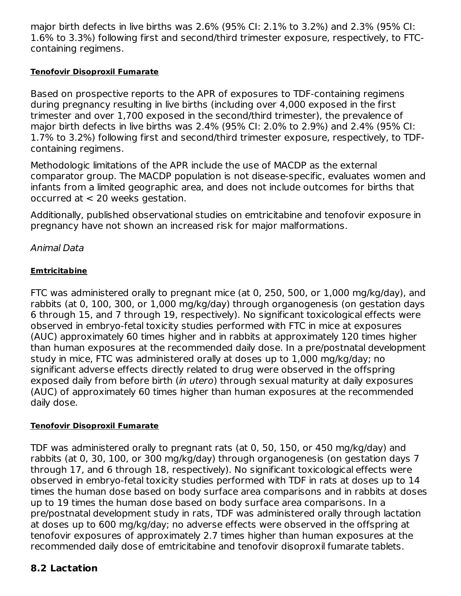major birth defects in live births was 2.6% (95% CI: 2.1% to 3.2%) and 2.3% (95% CI: 1.6% to 3.3%) following first and second/third trimester exposure, respectively, to FTCcontaining regimens.

#### **Tenofovir Disoproxil Fumarate**

Based on prospective reports to the APR of exposures to TDF-containing regimens during pregnancy resulting in live births (including over 4,000 exposed in the first trimester and over 1,700 exposed in the second/third trimester), the prevalence of major birth defects in live births was 2.4% (95% CI: 2.0% to 2.9%) and 2.4% (95% CI: 1.7% to 3.2%) following first and second/third trimester exposure, respectively, to TDFcontaining regimens.

Methodologic limitations of the APR include the use of MACDP as the external comparator group. The MACDP population is not disease-specific, evaluates women and infants from a limited geographic area, and does not include outcomes for births that occurred at < 20 weeks gestation.

Additionally, published observational studies on emtricitabine and tenofovir exposure in pregnancy have not shown an increased risk for major malformations.

## Animal Data

### **Emtricitabine**

FTC was administered orally to pregnant mice (at 0, 250, 500, or 1,000 mg/kg/day), and rabbits (at 0, 100, 300, or 1,000 mg/kg/day) through organogenesis (on gestation days 6 through 15, and 7 through 19, respectively). No significant toxicological effects were observed in embryo-fetal toxicity studies performed with FTC in mice at exposures (AUC) approximately 60 times higher and in rabbits at approximately 120 times higher than human exposures at the recommended daily dose. In a pre/postnatal development study in mice, FTC was administered orally at doses up to 1,000 mg/kg/day; no significant adverse effects directly related to drug were observed in the offspring exposed daily from before birth (in utero) through sexual maturity at daily exposures (AUC) of approximately 60 times higher than human exposures at the recommended daily dose.

#### **Tenofovir Disoproxil Fumarate**

TDF was administered orally to pregnant rats (at 0, 50, 150, or 450 mg/kg/day) and rabbits (at 0, 30, 100, or 300 mg/kg/day) through organogenesis (on gestation days 7 through 17, and 6 through 18, respectively). No significant toxicological effects were observed in embryo-fetal toxicity studies performed with TDF in rats at doses up to 14 times the human dose based on body surface area comparisons and in rabbits at doses up to 19 times the human dose based on body surface area comparisons. In a pre/postnatal development study in rats, TDF was administered orally through lactation at doses up to 600 mg/kg/day; no adverse effects were observed in the offspring at tenofovir exposures of approximately 2.7 times higher than human exposures at the recommended daily dose of emtricitabine and tenofovir disoproxil fumarate tablets.

## **8.2 Lactation**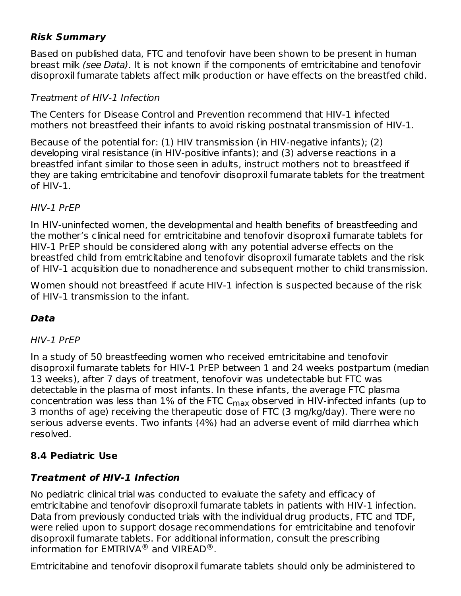## **Risk Summary**

Based on published data, FTC and tenofovir have been shown to be present in human breast milk (see Data). It is not known if the components of emtricitabine and tenofovir disoproxil fumarate tablets affect milk production or have effects on the breastfed child.

### Treatment of HIV-1 Infection

The Centers for Disease Control and Prevention recommend that HIV-1 infected mothers not breastfeed their infants to avoid risking postnatal transmission of HIV-1.

Because of the potential for: (1) HIV transmission (in HIV-negative infants); (2) developing viral resistance (in HIV-positive infants); and (3) adverse reactions in a breastfed infant similar to those seen in adults, instruct mothers not to breastfeed if they are taking emtricitabine and tenofovir disoproxil fumarate tablets for the treatment of HIV-1.

#### HIV-1 PrEP

In HIV-uninfected women, the developmental and health benefits of breastfeeding and the mother's clinical need for emtricitabine and tenofovir disoproxil fumarate tablets for HIV-1 PrEP should be considered along with any potential adverse effects on the breastfed child from emtricitabine and tenofovir disoproxil fumarate tablets and the risk of HIV-1 acquisition due to nonadherence and subsequent mother to child transmission.

Women should not breastfeed if acute HIV-1 infection is suspected because of the risk of HIV-1 transmission to the infant.

### **Data**

### HIV-1 PrEP

In a study of 50 breastfeeding women who received emtricitabine and tenofovir disoproxil fumarate tablets for HIV-1 PrEP between 1 and 24 weeks postpartum (median 13 weeks), after 7 days of treatment, tenofovir was undetectable but FTC was detectable in the plasma of most infants. In these infants, the average FTC plasma concentration was less than 1% of the FTC C<sub>max</sub> observed in HIV-infected infants (up to 3 months of age) receiving the therapeutic dose of FTC (3 mg/kg/day). There were no serious adverse events. Two infants (4%) had an adverse event of mild diarrhea which resolved.

### **8.4 Pediatric Use**

### **Treatment of HIV-1 Infection**

No pediatric clinical trial was conducted to evaluate the safety and efficacy of emtricitabine and tenofovir disoproxil fumarate tablets in patients with HIV-1 infection. Data from previously conducted trials with the individual drug products, FTC and TDF, were relied upon to support dosage recommendations for emtricitabine and tenofovir disoproxil fumarate tablets. For additional information, consult the prescribing information for EMTRIVA $^\circledR$  and VIREAD $^\circledR$  .

Emtricitabine and tenofovir disoproxil fumarate tablets should only be administered to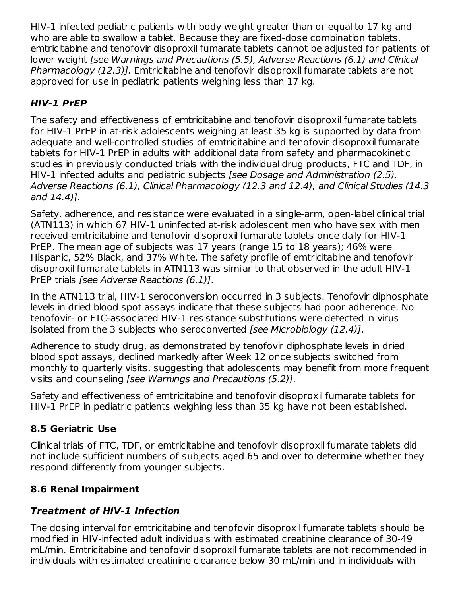HIV-1 infected pediatric patients with body weight greater than or equal to 17 kg and who are able to swallow a tablet. Because they are fixed-dose combination tablets, emtricitabine and tenofovir disoproxil fumarate tablets cannot be adjusted for patients of lower weight [see Warnings and Precautions (5.5), Adverse Reactions (6.1) and Clinical Pharmacology (12.3)]. Emtricitabine and tenofovir disoproxil fumarate tablets are not approved for use in pediatric patients weighing less than 17 kg.

# **HIV-1 PrEP**

The safety and effectiveness of emtricitabine and tenofovir disoproxil fumarate tablets for HIV-1 PrEP in at-risk adolescents weighing at least 35 kg is supported by data from adequate and well-controlled studies of emtricitabine and tenofovir disoproxil fumarate tablets for HIV-1 PrEP in adults with additional data from safety and pharmacokinetic studies in previously conducted trials with the individual drug products, FTC and TDF, in HIV-1 infected adults and pediatric subjects [see Dosage and Administration (2.5), Adverse Reactions (6.1), Clinical Pharmacology (12.3 and 12.4), and Clinical Studies (14.3 and 14.4)].

Safety, adherence, and resistance were evaluated in a single-arm, open-label clinical trial (ATN113) in which 67 HIV-1 uninfected at-risk adolescent men who have sex with men received emtricitabine and tenofovir disoproxil fumarate tablets once daily for HIV-1 PrEP. The mean age of subjects was 17 years (range 15 to 18 years); 46% were Hispanic, 52% Black, and 37% White. The safety profile of emtricitabine and tenofovir disoproxil fumarate tablets in ATN113 was similar to that observed in the adult HIV-1 PrEP trials [see Adverse Reactions (6.1)].

In the ATN113 trial, HIV-1 seroconversion occurred in 3 subjects. Tenofovir diphosphate levels in dried blood spot assays indicate that these subjects had poor adherence. No tenofovir- or FTC-associated HIV-1 resistance substitutions were detected in virus isolated from the 3 subjects who seroconverted [see Microbiology (12.4)].

Adherence to study drug, as demonstrated by tenofovir diphosphate levels in dried blood spot assays, declined markedly after Week 12 once subjects switched from monthly to quarterly visits, suggesting that adolescents may benefit from more frequent visits and counseling [see Warnings and Precautions (5.2)].

Safety and effectiveness of emtricitabine and tenofovir disoproxil fumarate tablets for HIV-1 PrEP in pediatric patients weighing less than 35 kg have not been established.

## **8.5 Geriatric Use**

Clinical trials of FTC, TDF, or emtricitabine and tenofovir disoproxil fumarate tablets did not include sufficient numbers of subjects aged 65 and over to determine whether they respond differently from younger subjects.

### **8.6 Renal Impairment**

## **Treatment of HIV-1 Infection**

The dosing interval for emtricitabine and tenofovir disoproxil fumarate tablets should be modified in HIV-infected adult individuals with estimated creatinine clearance of 30-49 mL/min. Emtricitabine and tenofovir disoproxil fumarate tablets are not recommended in individuals with estimated creatinine clearance below 30 mL/min and in individuals with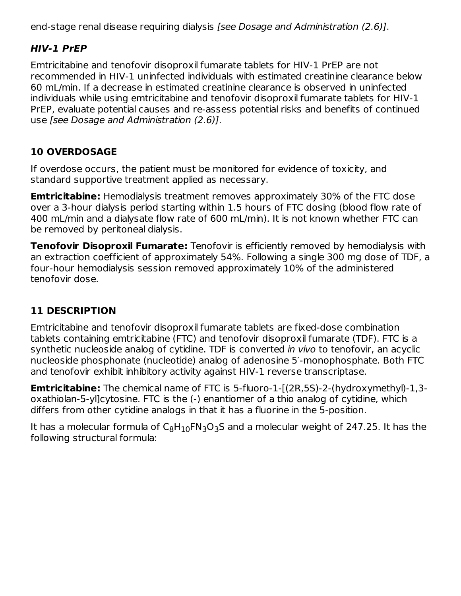end-stage renal disease requiring dialysis [see Dosage and Administration (2.6)].

## **HIV-1 PrEP**

Emtricitabine and tenofovir disoproxil fumarate tablets for HIV-1 PrEP are not recommended in HIV-1 uninfected individuals with estimated creatinine clearance below 60 mL/min. If a decrease in estimated creatinine clearance is observed in uninfected individuals while using emtricitabine and tenofovir disoproxil fumarate tablets for HIV-1 PrEP, evaluate potential causes and re-assess potential risks and benefits of continued use [see Dosage and Administration (2.6)].

# **10 OVERDOSAGE**

If overdose occurs, the patient must be monitored for evidence of toxicity, and standard supportive treatment applied as necessary.

**Emtricitabine:** Hemodialysis treatment removes approximately 30% of the FTC dose over a 3-hour dialysis period starting within 1.5 hours of FTC dosing (blood flow rate of 400 mL/min and a dialysate flow rate of 600 mL/min). It is not known whether FTC can be removed by peritoneal dialysis.

**Tenofovir Disoproxil Fumarate:** Tenofovir is efficiently removed by hemodialysis with an extraction coefficient of approximately 54%. Following a single 300 mg dose of TDF, a four-hour hemodialysis session removed approximately 10% of the administered tenofovir dose.

# **11 DESCRIPTION**

Emtricitabine and tenofovir disoproxil fumarate tablets are fixed-dose combination tablets containing emtricitabine (FTC) and tenofovir disoproxil fumarate (TDF). FTC is a synthetic nucleoside analog of cytidine. TDF is converted in vivo to tenofovir, an acyclic nucleoside phosphonate (nucleotide) analog of adenosine 5′-monophosphate. Both FTC and tenofovir exhibit inhibitory activity against HIV-1 reverse transcriptase.

**Emtricitabine:** The chemical name of FTC is 5-fluoro-1-[(2R,5S)-2-(hydroxymethyl)-1,3oxathiolan-5-yl]cytosine. FTC is the (-) enantiomer of a thio analog of cytidine, which differs from other cytidine analogs in that it has a fluorine in the 5-position.

It has a molecular formula of  $\mathsf{C}_8\mathsf{H}_{10}\mathsf{FN}_3\mathsf{O}_3\mathsf{S}$  and a molecular weight of 247.25. It has the following structural formula: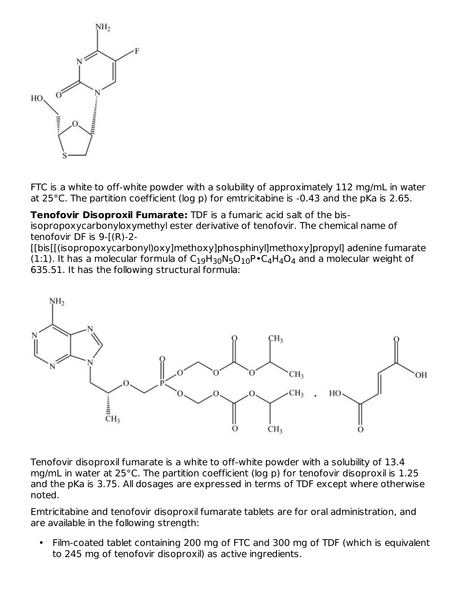

FTC is a white to off-white powder with a solubility of approximately 112 mg/mL in water at 25°C. The partition coefficient (log p) for emtricitabine is -0.43 and the pKa is 2.65.

**Tenofovir Disoproxil Fumarate:** TDF is a fumaric acid salt of the bisisopropoxycarbonyloxymethyl ester derivative of tenofovir. The chemical name of tenofovir DF is 9-[(R)-2-

[[bis[[(isopropoxycarbonyl)oxy]methoxy]phosphinyl]methoxy]propyl] adenine fumarate (1:1). It has a molecular formula of  $\mathsf{C}_1$ <sub>9</sub>H<sub>30</sub>N<sub>5</sub>O<sub>10</sub>P•C<sub>4</sub>H<sub>4</sub>O<sub>4</sub> and a molecular weight of 635.51. It has the following structural formula:



Tenofovir disoproxil fumarate is a white to off-white powder with a solubility of 13.4 mg/mL in water at 25°C. The partition coefficient (log p) for tenofovir disoproxil is 1.25 and the pKa is 3.75. All dosages are expressed in terms of TDF except where otherwise noted.

Emtricitabine and tenofovir disoproxil fumarate tablets are for oral administration, and are available in the following strength:

• Film-coated tablet containing 200 mg of FTC and 300 mg of TDF (which is equivalent to 245 mg of tenofovir disoproxil) as active ingredients.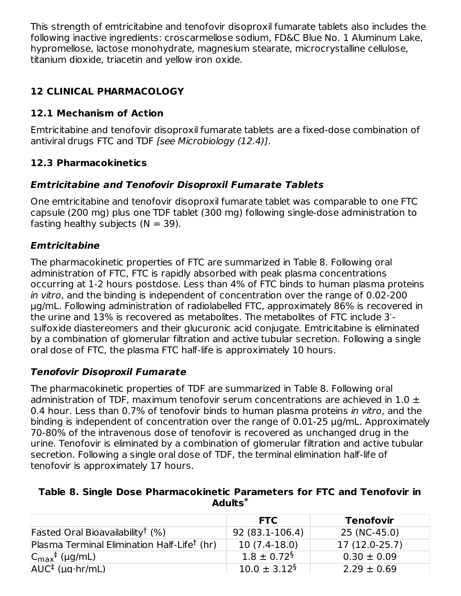This strength of emtricitabine and tenofovir disoproxil fumarate tablets also includes the following inactive ingredients: croscarmellose sodium, FD&C Blue No. 1 Aluminum Lake, hypromellose, lactose monohydrate, magnesium stearate, microcrystalline cellulose, titanium dioxide, triacetin and yellow iron oxide.

# **12 CLINICAL PHARMACOLOGY**

# **12.1 Mechanism of Action**

Emtricitabine and tenofovir disoproxil fumarate tablets are a fixed-dose combination of antiviral drugs FTC and TDF [see Microbiology (12.4)].

# **12.3 Pharmacokinetics**

# **Emtricitabine and Tenofovir Disoproxil Fumarate Tablets**

One emtricitabine and tenofovir disoproxil fumarate tablet was comparable to one FTC capsule (200 mg) plus one TDF tablet (300 mg) following single-dose administration to fasting healthy subjects  $(N = 39)$ .

# **Emtricitabine**

The pharmacokinetic properties of FTC are summarized in Table 8. Following oral administration of FTC, FTC is rapidly absorbed with peak plasma concentrations occurring at 1-2 hours postdose. Less than 4% of FTC binds to human plasma proteins in vitro, and the binding is independent of concentration over the range of 0.02-200 μg/mL. Following administration of radiolabelled FTC, approximately 86% is recovered in the urine and 13% is recovered as metabolites. The metabolites of FTC include 3′ sulfoxide diastereomers and their glucuronic acid conjugate. Emtricitabine is eliminated by a combination of glomerular filtration and active tubular secretion. Following a single oral dose of FTC, the plasma FTC half-life is approximately 10 hours.

# **Tenofovir Disoproxil Fumarate**

The pharmacokinetic properties of TDF are summarized in Table 8. Following oral administration of TDF, maximum tenofovir serum concentrations are achieved in  $1.0 \pm$ 0.4 hour. Less than 0.7% of tenofovir binds to human plasma proteins in vitro, and the binding is independent of concentration over the range of 0.01-25 µg/mL. Approximately 70-80% of the intravenous dose of tenofovir is recovered as unchanged drug in the urine. Tenofovir is eliminated by a combination of glomerular filtration and active tubular secretion. Following a single oral dose of TDF, the terminal elimination half-life of tenofovir is approximately 17 hours.

### **Table 8. Single Dose Pharmacokinetic Parameters for FTC and Tenofovir in Adults \***

|                                                         | <b>FTC</b>                    | <b>Tenofovir</b> |
|---------------------------------------------------------|-------------------------------|------------------|
| Fasted Oral Bioavailability <sup>†</sup> $(\%)$         | 92 (83.1-106.4)               | 25 (NC-45.0)     |
| Plasma Terminal Elimination Half-Life <sup>†</sup> (hr) | $10(7.4-18.0)$                | $17(12.0-25.7)$  |
| $ C_{\text{max}}^{\dagger}$ (µg/mL)                     | $1.8 \pm 0.72$ <sup>§</sup>   | $0.30 \pm 0.09$  |
| $AUC^{\dagger}$ (µg hr/mL)                              | $10.0 \pm 3.12^{\frac{5}{3}}$ | $2.29 \pm 0.69$  |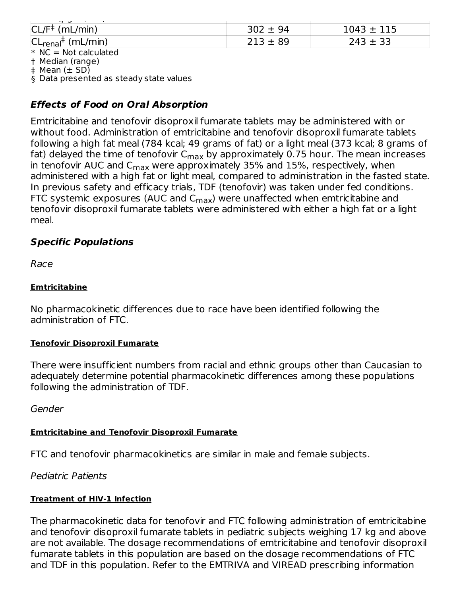| . .                                    |              |                |
|----------------------------------------|--------------|----------------|
| $CL/F^{\ddagger}$ (mL/min)             | $302 \pm 94$ | $1043 \pm 115$ |
| $ CL_{\text{real}}^{\dagger}$ (mL/min) | $213 \pm 89$ | $243 \pm 33$   |
| $* NC = Not calculated$                |              |                |

\* † Median (range)

‡ Mean (± SD)

§ Data presented as steady state values

## **Effects of Food on Oral Absorption**

Emtricitabine and tenofovir disoproxil fumarate tablets may be administered with or without food. Administration of emtricitabine and tenofovir disoproxil fumarate tablets following a high fat meal (784 kcal; 49 grams of fat) or a light meal (373 kcal; 8 grams of fat) delayed the time of tenofovir C $_{\sf max}$  by approximately 0.75 hour. The mean increases in tenofovir AUC and  $\mathsf{C}_{\mathsf{max}}$  were approximately 35% and 15%, respectively, when administered with a high fat or light meal, compared to administration in the fasted state. In previous safety and efficacy trials, TDF (tenofovir) was taken under fed conditions. FTC systemic exposures (AUC and C $_{\sf max}$ ) were unaffected when emtricitabine and tenofovir disoproxil fumarate tablets were administered with either a high fat or a light meal.

## **Specific Populations**

Race

#### **Emtricitabine**

No pharmacokinetic differences due to race have been identified following the administration of FTC.

### **Tenofovir Disoproxil Fumarate**

There were insufficient numbers from racial and ethnic groups other than Caucasian to adequately determine potential pharmacokinetic differences among these populations following the administration of TDF.

Gender

### **Emtricitabine and Tenofovir Disoproxil Fumarate**

FTC and tenofovir pharmacokinetics are similar in male and female subjects.

Pediatric Patients

### **Treatment of HIV-1 Infection**

The pharmacokinetic data for tenofovir and FTC following administration of emtricitabine and tenofovir disoproxil fumarate tablets in pediatric subjects weighing 17 kg and above are not available. The dosage recommendations of emtricitabine and tenofovir disoproxil fumarate tablets in this population are based on the dosage recommendations of FTC and TDF in this population. Refer to the EMTRIVA and VIREAD prescribing information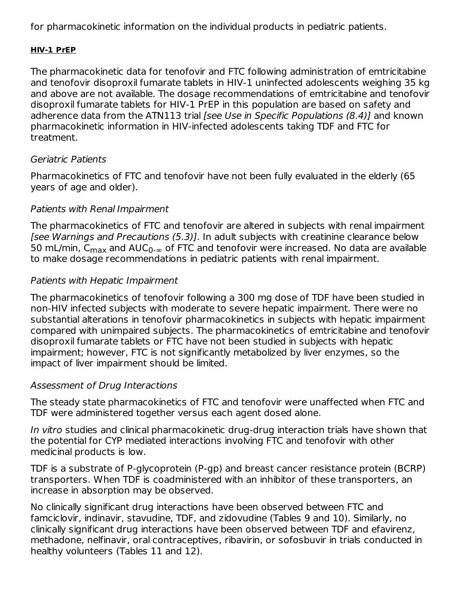for pharmacokinetic information on the individual products in pediatric patients.

#### **HIV-1 PrEP**

The pharmacokinetic data for tenofovir and FTC following administration of emtricitabine and tenofovir disoproxil fumarate tablets in HIV-1 uninfected adolescents weighing 35 kg and above are not available. The dosage recommendations of emtricitabine and tenofovir disoproxil fumarate tablets for HIV-1 PrEP in this population are based on safety and adherence data from the ATN113 trial [see Use in Specific Populations (8.4)] and known pharmacokinetic information in HIV-infected adolescents taking TDF and FTC for treatment.

### Geriatric Patients

Pharmacokinetics of FTC and tenofovir have not been fully evaluated in the elderly (65 years of age and older).

## Patients with Renal Impairment

The pharmacokinetics of FTC and tenofovir are altered in subjects with renal impairment [see Warnings and Precautions (5.3)]. In adult subjects with creatinine clearance below 50 mL/min, C<sub>max</sub> and AUC<sub>0-∞</sub> of FTC and tenofovir were increased. No data are available to make dosage recommendations in pediatric patients with renal impairment.

## Patients with Hepatic Impairment

The pharmacokinetics of tenofovir following a 300 mg dose of TDF have been studied in non-HIV infected subjects with moderate to severe hepatic impairment. There were no substantial alterations in tenofovir pharmacokinetics in subjects with hepatic impairment compared with unimpaired subjects. The pharmacokinetics of emtricitabine and tenofovir disoproxil fumarate tablets or FTC have not been studied in subjects with hepatic impairment; however, FTC is not significantly metabolized by liver enzymes, so the impact of liver impairment should be limited.

## Assessment of Drug Interactions

The steady state pharmacokinetics of FTC and tenofovir were unaffected when FTC and TDF were administered together versus each agent dosed alone.

In vitro studies and clinical pharmacokinetic drug-drug interaction trials have shown that the potential for CYP mediated interactions involving FTC and tenofovir with other medicinal products is low.

TDF is a substrate of P-glycoprotein (P-gp) and breast cancer resistance protein (BCRP) transporters. When TDF is coadministered with an inhibitor of these transporters, an increase in absorption may be observed.

No clinically significant drug interactions have been observed between FTC and famciclovir, indinavir, stavudine, TDF, and zidovudine (Tables 9 and 10). Similarly, no clinically significant drug interactions have been observed between TDF and efavirenz, methadone, nelfinavir, oral contraceptives, ribavirin, or sofosbuvir in trials conducted in healthy volunteers (Tables 11 and 12).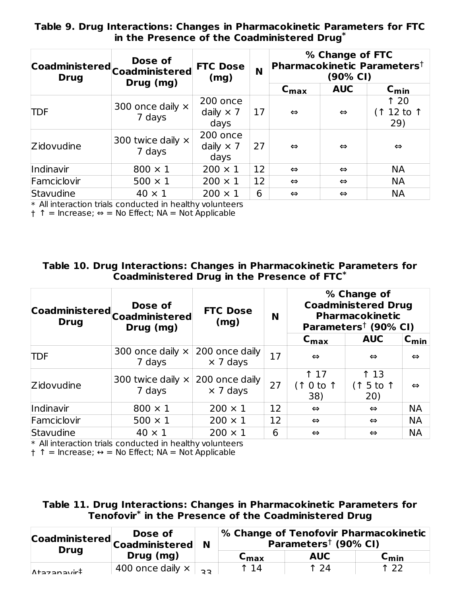**Table 9. Drug Interactions: Changes in Pharmacokinetic Parameters for FTC in the Presence of the Coadministered Drug \***

| <b>Drug</b> | Dose of<br>Coadministered Coadministered | <b>FTC Dose</b><br>(mg)              | N  | % Change of FTC<br>Pharmacokinetic Parameters <sup>†</sup><br>(90% CI) |                   |                          |  |
|-------------|------------------------------------------|--------------------------------------|----|------------------------------------------------------------------------|-------------------|--------------------------|--|
|             | Drug (mg)                                |                                      |    | $\mathsf{C}_{\mathsf{max}}$                                            | <b>AUC</b>        | $C_{\text{min}}$         |  |
| <b>TDF</b>  | 300 once daily $\times$<br>7 days        | 200 once<br>daily $\times$ 7<br>days | 17 | $\Leftrightarrow$                                                      | $\Leftrightarrow$ | 120<br>(↑ 12 to ↑<br>29) |  |
| Zidovudine  | 300 twice daily $\times$<br>7 days       | 200 once<br>daily $\times$ 7<br>days | 27 | $\Leftrightarrow$                                                      | $\Leftrightarrow$ | $\Leftrightarrow$        |  |
| Indinavir   | $800 \times 1$                           | $200 \times 1$                       | 12 | $\Leftrightarrow$                                                      | $\Leftrightarrow$ | <b>NA</b>                |  |
| Famciclovir | $500 \times 1$                           | $200 \times 1$                       | 12 | $\Leftrightarrow$                                                      | $\Leftrightarrow$ | <b>NA</b>                |  |
| Stavudine   | $40 \times 1$                            | $200 \times 1$                       | 6  | $\Leftrightarrow$                                                      | $\Leftrightarrow$ | <b>NA</b>                |  |

\* All interaction trials conducted in healthy volunteers

† ↑ = Increase; ⇔ = No Effect; NA = Not Applicable

| Table 10. Drug Interactions: Changes in Pharmacokinetic Parameters for |
|------------------------------------------------------------------------|
| Coadministered Drug in the Presence of FTC $^*$                        |

| <b>Drug</b> | Dose of<br> Coadministered <br> Coadministered<br>Drug (mg) | <b>FTC Dose</b><br>(mg)           | N  | % Change of<br><b>Coadministered Drug</b><br><b>Pharmacokinetic</b><br>Parameters <sup>†</sup> (90% CI) |                        |                   |  |
|-------------|-------------------------------------------------------------|-----------------------------------|----|---------------------------------------------------------------------------------------------------------|------------------------|-------------------|--|
|             |                                                             |                                   |    | $\mathsf{C}_{\mathsf{max}}$                                                                             | <b>AUC</b>             | $C_{\text{min}}$  |  |
| <b>TDF</b>  | 300 once daily $\times$<br>7 days                           | 200 once daily<br>$\times$ 7 days | 17 | $\Leftrightarrow$                                                                                       | $\Leftrightarrow$      | $\Leftrightarrow$ |  |
| Zidovudine  | 300 twice daily $\times$<br>7 days                          | 200 once daily<br>$\times$ 7 days | 27 | 17<br>$0$ to $\uparrow$<br>38)                                                                          | 13<br>(↑ 5 to ↑<br>20) | $\Leftrightarrow$ |  |
| Indinavir   | $800 \times 1$                                              | $200 \times 1$                    | 12 | $\Leftrightarrow$                                                                                       | $\Leftrightarrow$      | <b>NA</b>         |  |
| Famciclovir | $500 \times 1$                                              | $200 \times 1$                    | 12 | $\Leftrightarrow$                                                                                       | $\Leftrightarrow$      | <b>NA</b>         |  |
| Stavudine   | $40 \times 1$                                               | $200 \times 1$                    | 6  | $\Leftrightarrow$                                                                                       | $\Leftrightarrow$      | <b>NA</b>         |  |

\* All interaction trials conducted in healthy volunteers

† ↑ = Increase; ↔ = No Effect; NA = Not Applicable

| Table 11. Drug Interactions: Changes in Pharmacokinetic Parameters for |
|------------------------------------------------------------------------|
| Tenofovir $^\ast$ in the Presence of the Coadministered Drug           |

| <b>Drug</b>                    | Dose of<br>Coadministered Coadministered ▶<br>Drug (mg) |  | <b>% Change of Tenofovir Pharmacokinetic</b><br>Parameters <sup>†</sup> (90% CI) |            |                             |  |
|--------------------------------|---------------------------------------------------------|--|----------------------------------------------------------------------------------|------------|-----------------------------|--|
|                                |                                                         |  | $C_{\text{max}}$                                                                 | <b>AUC</b> | $\mathsf{c}_{\mathsf{min}}$ |  |
| $\Lambda$ tazanavir $\ddagger$ | 400 once daily $\times$ $\rightarrow$                   |  | $\uparrow$ 14                                                                    | 1 24       | 122                         |  |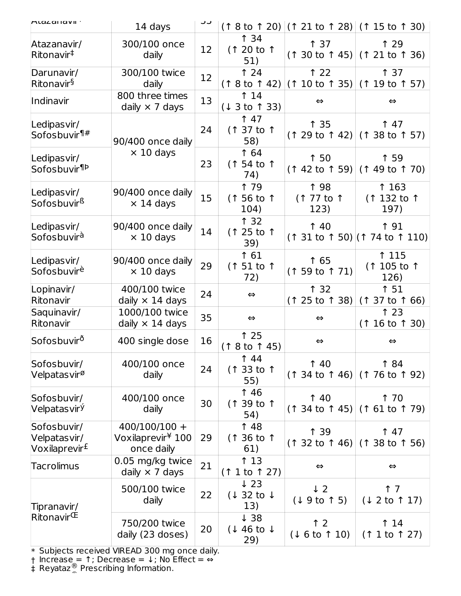| Alazanavir :                                             | 14 days                                                        |                   |                                                 |                                  | $($ ↑ 8 to ↑ 20) $ $ (↑ 21 to ↑ 28) $ $ (↑ 15 to ↑ 30) |
|----------------------------------------------------------|----------------------------------------------------------------|-------------------|-------------------------------------------------|----------------------------------|--------------------------------------------------------|
| Atazanavir/<br>Ritonavir <sup>‡</sup>                    | 300/100 once<br>daily                                          | $12 \overline{ }$ | 134<br>(1 20 to 1<br>51)                        | 137                              | ↑ 29<br>$(1\ 30 \text{ to } 1\ 45)$ (1 21 to 1 36)     |
| Darunavir/<br>Ritonavir <sup>§</sup>                     | 300/100 twice<br>daily                                         | 12                | 124<br>(18 to 142)                              | 122<br>$(110 \text{ to } 135)$   | ↑ 37<br>(119 to 157)                                   |
| Indinavir                                                | 800 three times<br>daily $\times$ 7 days                       | 13                | 14<br>(13 to 133)                               | $\Leftrightarrow$                | $\Leftrightarrow$                                      |
| Ledipasvir/<br>Sofosbuvir <sup>¶#</sup>                  | 90/400 once daily                                              | 24                | 147<br>(1 37 to 1<br>58)                        | 135                              | 147<br>$(1 29 to 1 42)$ (1 38 to 1 57)                 |
| Ledipas vir/<br>Sofosbuvir <sup>¶Þ</sup>                 | $\times$ 10 days                                               | 23                | 1 64<br>(1 54 to 1<br>74)                       | ↑ 50                             | ↑ 59<br>$(142 \text{ to } 59)$ (1 49 to 1 70)          |
| Ledipasvir/<br>Sofosbuvir <sup>ß</sup>                   | 90/400 once daily<br>$\times$ 14 days                          | 15                | <b>179</b><br>(1 56 to 1<br>104)                | <b>198</b><br>(1 77 to 1<br>123) | ↑ 163<br>(1 132 to 1<br>197)                           |
| Ledipasvir/<br>Sofosbuvirà                               | 90/400 once daily<br>$\times$ 10 days                          | 14                | 132<br>(1 25 to 1<br>39)                        | 140                              | <b>↑ 91</b><br>$($ ↑ 31 to ↑ 50) $($ ↑ 74 to ↑ 110)    |
| Ledipasvir/<br>Sofosbuvir <sup>è</sup>                   | 90/400 once daily<br>$\times$ 10 days                          | 29                | 1 61<br>$(151$ to 1<br>72)                      | 1 65<br>$(159 \text{ to } 171)$  | ↑ 115<br>(1 105 to 1<br>126)                           |
| Lopinavir/<br>Ritonavir                                  | 400/100 twice<br>daily $\times$ 14 days                        | 24                | $\Leftrightarrow$                               | 132<br>$(125 \text{ to } 138)$   | ↑ 51<br>$(137 \text{ to } 166)$                        |
| Saquinavir/<br>Ritonavir                                 | 1000/100 twice<br>daily $\times$ 14 days                       | 35                | $\Leftrightarrow$                               | $\Leftrightarrow$                | 123<br>$(116 \text{ to } 130)$                         |
| Sofosbuvir <sup>ð</sup>                                  | 400 single dose                                                | 16                | 125<br>(18 to 145)                              | $\Leftrightarrow$                | $\Leftrightarrow$                                      |
| Sofosbuvir/<br>Velpatas vir <sup>ø</sup>                 | 400/100 once<br>daily                                          | 24                | <b>144</b><br>(1 33 to 1<br>55)                 | 140                              | 184<br>$(134 \text{ to } 146)$ (1 76 to 1 92)          |
| Sofosbuvir/<br>Velpatas vir <sup>ý</sup>                 | 400/100 once<br>daily                                          | 30                | 146<br>(1 39 to 1<br>54)                        | 140                              | 1 70<br>$(134 \text{ to } 145)$ (161 to 179)           |
| Sofosbuvir/<br>Velpatasvir/<br>Voxilaprevir <sup>£</sup> | $400/100/100 +$<br>Voxilaprevir <sup>¥</sup> 100<br>once daily | 29                | 148<br>(1 36 to 1<br>61)                        | ↑ 39                             | 147<br>$(132 \text{ to } 146)$ (1 38 to 1 56)          |
| <b>Tacrolimus</b>                                        | 0.05 mg/kg twice<br>daily $\times$ 7 days                      | 21                | 13<br>(1 1 to 1 27)                             | $\Leftrightarrow$                | $\Leftrightarrow$                                      |
| Tipranavir/                                              | 500/100 twice<br>daily                                         | 22                | $\downarrow$ 23<br>$(132 \text{ to } 1)$<br>13) | $\downarrow$ 2<br>(19 to 15)     | $\uparrow$ 7<br>(1 2 to 17)                            |
| $\mathsf{R}$ itonavir $\mathsf{\Phi}$                    | 750/200 twice<br>daily (23 doses)                              | 20                | $\downarrow$ 38<br>(146t)<br>29)                | $\uparrow$ 2<br>(16 to 10)       | <b>14</b><br>(1 1 to 1 27)                             |

\* Subjects received VIREAD 300 mg once daily.

† Increase = 1; Decrease =  $\downarrow$ ; No Effect =  $\Leftrightarrow$ 

‡ Reyataz<sup>®</sup> Prescribing Information. Prezista® Prescribing Information.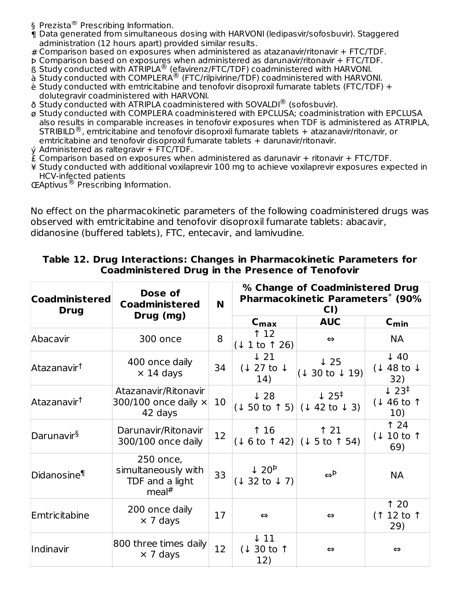- ‡ § Prezista® Prescribing Information.
- ¶ Data generated from simultaneous dosing with HARVONI (ledipasvir/sofosbuvir). Staggered administration (12 hours apart) provided similar results.
- # Comparison based on exposures when administered as atazanavir/ritonavir + FTC/TDF.
- Þ Comparison based on exposures when administered as darunavir/ritonavir + FTC/TDF.
- ß Study conducted with ATRIPLA<sup>®</sup> (efavirenz/FTC/TDF) coadministered with HARVONI.
- à Study conducted with COMPLERA<sup>®</sup> (FTC/rilpivirine/TDF) coadministered with HARVONI.
- è Study conducted with emtricitabine and tenofovir disoproxil fumarate tablets (FTC/TDF) + dolutegravir coadministered with HARVONI.
- ð Study conducted with ATRIPLA coadministered with SOVALDI® (sofosbuvir).
- ø Study conducted with COMPLERA coadministered with EPCLUSA; coadministration with EPCLUSA also results in comparable increases in tenofovir exposures when TDF is administered as ATRIPLA, STRIBILD<sup>®</sup>, emtricitabine and tenofovir disoproxil fumarate tablets + atazanavir/ritonavir, or emtricitabine and tenofovir disoproxil fumarate tablets + darunavir/ritonavir.
- ý Administered as raltegravir + FTC/TDF.
- £ Comparison based on exposures when administered as darunavir + ritonavir + FTC/TDF.
- ¥ Study conducted with additional voxilaprevir 100 mg to achieve voxilaprevir exposures expected in HCV-infected patients
- Œ Aptivus® Prescribing Information.

No effect on the pharmacokinetic parameters of the following coadministered drugs was observed with emtricitabine and tenofovir disoproxil fumarate tablets: abacavir, didanosine (buffered tablets), FTC, entecavir, and lamivudine.

| <b>Coadministered</b><br><b>Drug</b> | Dose of<br><b>Coadministered</b><br>Drug (mg)                            | <b>N</b> |                                                 | % Change of Coadministered Drug<br><b>Pharmacokinetic Parameters* (90%</b><br>CI)    |                                                   |
|--------------------------------------|--------------------------------------------------------------------------|----------|-------------------------------------------------|--------------------------------------------------------------------------------------|---------------------------------------------------|
|                                      |                                                                          |          | $C_{\text{max}}$                                | <b>AUC</b>                                                                           | $C_{\text{min}}$                                  |
| Abacavir                             | 300 once                                                                 | 8        | 12<br>(1 1 to 1 26)                             | ⇔                                                                                    | <b>NA</b>                                         |
| Atazanavir <sup>†</sup>              | 400 once daily<br>$\times$ 14 days                                       | 34       | $\downarrow$ 21<br>$(127 \text{ to } 1)$<br>14) | $\downarrow$ 25<br>$(130 \text{ to } 19)$                                            | $\downarrow$ 40<br>(148t)<br>32)                  |
| Atazanavir <sup>†</sup>              | Atazanavir/Ritonavir<br>300/100 once daily $\times$<br>42 days           | 10       | $\downarrow$ 28                                 | $\downarrow$ 25 <sup>‡</sup><br>$(1\ 50 \text{ to } 1\ 5)  (1\ 42 \text{ to } 1\ 3)$ | $\downarrow$ 23 <sup>‡</sup><br>(↓ 46 to ↑<br>10) |
| Darunavir <sup>§</sup>               | Darunavir/Ritonavir<br>300/100 once daily                                | 12       | 16                                              | $\uparrow$ 21<br>$(1 6 to 1 42)$ $(1 5 to 1 54)$                                     | 124<br>(1 10 to 1)<br>69)                         |
| Didanosine <sup>¶</sup>              | 250 once,<br>simultaneously with<br>TDF and a light<br>meal <sup>#</sup> | 33       | $\downarrow$ 20 <sup>b</sup><br>(1 32 to 17)    | $\leftrightarrow^{\text{p}}$                                                         | <b>NA</b>                                         |
| Emtricitabine                        | 200 once daily<br>$\times$ 7 days                                        | 17       | $\Leftrightarrow$                               | $\Leftrightarrow$                                                                    | 120<br>(1 12 to 1<br>29)                          |
| Indinavir                            | 800 three times daily<br>$\times$ 7 days                                 | 12       | $\downarrow$ 11<br>$(130 \text{ to }$<br>12)    | ⇔                                                                                    | $\Leftrightarrow$                                 |

#### **Table 12. Drug Interactions: Changes in Pharmacokinetic Parameters for Coadministered Drug in the Presence of Tenofovir**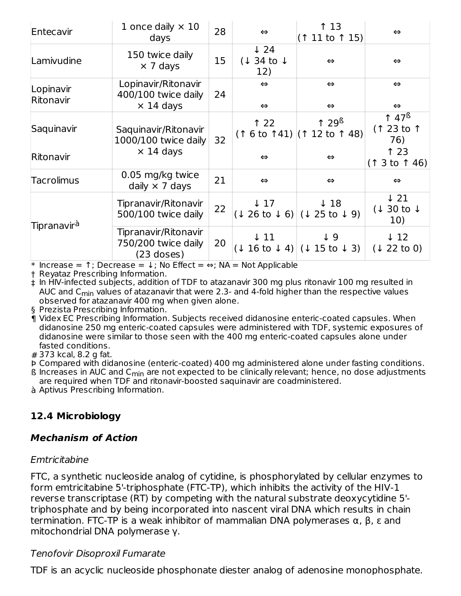| Entecavir               | 1 once daily $\times$ 10<br>days                               | 28 | $\Leftrightarrow$                               | ↑ 13<br>(11 to 115)                                       | $\Leftrightarrow$                               |
|-------------------------|----------------------------------------------------------------|----|-------------------------------------------------|-----------------------------------------------------------|-------------------------------------------------|
| Lamivudine              | 150 twice daily<br>$\times$ 7 days                             | 15 | $\downarrow$ 24<br>$(134 \text{ to } 1)$<br>12) | $\Leftrightarrow$                                         | $\Leftrightarrow$                               |
| Lopinavir<br>Ritonavir  | Lopinavir/Ritonavir<br>400/100 twice daily<br>$\times$ 14 days | 24 | $\Leftrightarrow$<br>$\Leftrightarrow$          | $\Leftrightarrow$<br>$\Leftrightarrow$                    | $\Leftrightarrow$<br>$\Leftrightarrow$          |
| Saquinavir              | Saquinavir/Ritonavir<br>1000/100 twice daily                   | 32 | 122                                             | 129 <sup>6</sup><br>$(16 \text{ to } 141)$ (1 12 to 1 48) | 147 <sup>6</sup><br>(123 to 1)<br>76)           |
| Ritonavir               | $\times$ 14 days                                               |    | $\Leftrightarrow$                               | $\Leftrightarrow$                                         | 123<br>(13 to 146)                              |
| Tacrolimus              | 0.05 mg/kg twice<br>daily $\times$ 7 days                      | 21 | $\Leftrightarrow$                               | $\Leftrightarrow$                                         | $\Leftrightarrow$                               |
|                         | Tipranavir/Ritonavir<br>500/100 twice daily                    | 22 | $\downarrow$ 17                                 | $\downarrow$ 18<br>$(1 26 to 1 6)$ $(1 25 to 1 9)$        | $\downarrow$ 21<br>$(130 \text{ to } 1)$<br>10) |
| Tipranavir <sup>à</sup> | Tipranavir/Ritonavir<br>750/200 twice daily<br>$(23$ doses)    | 20 | ↓ 11                                            | $\downarrow 9$<br>(1 16 t 0 1 4) (1 15 t 0 1 3)           | $\downarrow$ 12<br>(1 22 to 0)                  |

\* Increase = ↑; Decrease = ↓; No Effect = ⇔; NA = Not Applicable

† Reyataz Prescribing Information.

‡ In HIV-infected subjects, addition of TDF to atazanavir 300 mg plus ritonavir 100 mg resulted in AUC and C<sub>min</sub> values of atazanavir that were 2.3- and 4-fold higher than the respective values observed for atazanavir 400 mg when given alone.

- § Prezista Prescribing Information.
- ¶ Videx EC Prescribing Information. Subjects received didanosine enteric-coated capsules. When didanosine 250 mg enteric-coated capsules were administered with TDF, systemic exposures of didanosine were similar to those seen with the 400 mg enteric-coated capsules alone under fasted conditions.
- # 373 kcal, 8.2 g fat.

Þ Compared with didanosine (enteric-coated) 400 mg administered alone under fasting conditions.

- ${\tt B}$  Increases in AUC and C<sub>min</sub> are not expected to be clinically relevant; hence, no dose adjustments are required when TDF and ritonavir-boosted saquinavir are coadministered.
- à Aptivus Prescribing Information.

## **12.4 Microbiology**

### **Mechanism of Action**

### Emtricitabine

FTC, a synthetic nucleoside analog of cytidine, is phosphorylated by cellular enzymes to form emtricitabine 5'-triphosphate (FTC-TP), which inhibits the activity of the HIV-1 reverse transcriptase (RT) by competing with the natural substrate deoxycytidine 5' triphosphate and by being incorporated into nascent viral DNA which results in chain termination. FTC-TP is a weak inhibitor of mammalian DNA polymerases α, β, ε and mitochondrial DNA polymerase γ.

### Tenofovir Disoproxil Fumarate

TDF is an acyclic nucleoside phosphonate diester analog of adenosine monophosphate.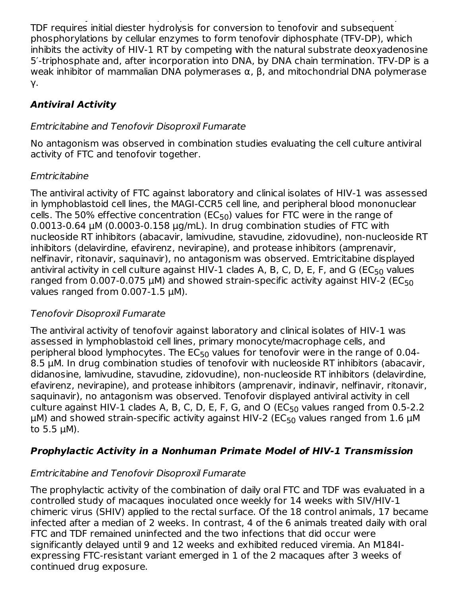TDF is an acyclic nucleoside phosphonate diester analog of adenosine monophosphate. TDF requires initial diester hydrolysis for conversion to tenofovir and subsequent phosphorylations by cellular enzymes to form tenofovir diphosphate (TFV-DP), which inhibits the activity of HIV-1 RT by competing with the natural substrate deoxyadenosine 5′-triphosphate and, after incorporation into DNA, by DNA chain termination. TFV-DP is a weak inhibitor of mammalian DNA polymerases  $\alpha$ ,  $\beta$ , and mitochondrial DNA polymerase γ.

# **Antiviral Activity**

# Emtricitabine and Tenofovir Disoproxil Fumarate

No antagonism was observed in combination studies evaluating the cell culture antiviral activity of FTC and tenofovir together.

# **Emtricitabine**

The antiviral activity of FTC against laboratory and clinical isolates of HIV-1 was assessed in lymphoblastoid cell lines, the MAGI-CCR5 cell line, and peripheral blood mononuclear cells. The 50% effective concentration (EC<sub>50</sub>) values for FTC were in the range of 0.0013-0.64 µM (0.0003-0.158 µg/mL). In drug combination studies of FTC with nucleoside RT inhibitors (abacavir, lamivudine, stavudine, zidovudine), non-nucleoside RT inhibitors (delavirdine, efavirenz, nevirapine), and protease inhibitors (amprenavir, nelfinavir, ritonavir, saquinavir), no antagonism was observed. Emtricitabine displayed antiviral activity in cell culture against HIV-1 clades A, B, C, D, E, F, and G (EC $_{50}$  values ranged from 0.007-0.075  $\mu$ M) and showed strain-specific activity against HIV-2 (EC $_{50}$ values ranged from 0.007-1.5  $\mu$ M).

## Tenofovir Disoproxil Fumarate

The antiviral activity of tenofovir against laboratory and clinical isolates of HIV-1 was assessed in lymphoblastoid cell lines, primary monocyte/macrophage cells, and peripheral blood lymphocytes. The  $\mathsf{EC}_{50}$  values for tenofovir were in the range of 0.04-8.5 µM. In drug combination studies of tenofovir with nucleoside RT inhibitors (abacavir, didanosine, lamivudine, stavudine, zidovudine), non-nucleoside RT inhibitors (delavirdine, efavirenz, nevirapine), and protease inhibitors (amprenavir, indinavir, nelfinavir, ritonavir, saquinavir), no antagonism was observed. Tenofovir displayed antiviral activity in cell culture against HIV-1 clades A, B, C, D, E, F, G, and O ( $\mathsf{EC}_{50}$  values ranged from 0.5-2.2  $\mu$ M) and showed strain-specific activity against HIV-2 (EC<sub>50</sub> values ranged from 1.6  $\mu$ M to  $5.5 \mu M$ ).

# **Prophylactic Activity in a Nonhuman Primate Model of HIV-1 Transmission**

# Emtricitabine and Tenofovir Disoproxil Fumarate

The prophylactic activity of the combination of daily oral FTC and TDF was evaluated in a controlled study of macaques inoculated once weekly for 14 weeks with SIV/HIV-1 chimeric virus (SHIV) applied to the rectal surface. Of the 18 control animals, 17 became infected after a median of 2 weeks. In contrast, 4 of the 6 animals treated daily with oral FTC and TDF remained uninfected and the two infections that did occur were significantly delayed until 9 and 12 weeks and exhibited reduced viremia. An M184Iexpressing FTC-resistant variant emerged in 1 of the 2 macaques after 3 weeks of continued drug exposure.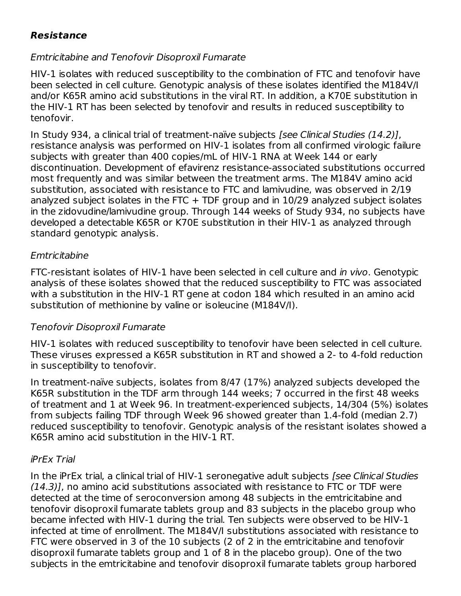## **Resistance**

## Emtricitabine and Tenofovir Disoproxil Fumarate

HIV-1 isolates with reduced susceptibility to the combination of FTC and tenofovir have been selected in cell culture. Genotypic analysis of these isolates identified the M184V/I and/or K65R amino acid substitutions in the viral RT. In addition, a K70E substitution in the HIV-1 RT has been selected by tenofovir and results in reduced susceptibility to tenofovir.

In Study 934, a clinical trial of treatment-naïve subjects [see Clinical Studies (14.2)], resistance analysis was performed on HIV-1 isolates from all confirmed virologic failure subjects with greater than 400 copies/mL of HIV-1 RNA at Week 144 or early discontinuation. Development of efavirenz resistance-associated substitutions occurred most frequently and was similar between the treatment arms. The M184V amino acid substitution, associated with resistance to FTC and lamivudine, was observed in 2/19 analyzed subject isolates in the FTC  $+$  TDF group and in 10/29 analyzed subject isolates in the zidovudine/lamivudine group. Through 144 weeks of Study 934, no subjects have developed a detectable K65R or K70E substitution in their HIV-1 as analyzed through standard genotypic analysis.

#### **Emtricitabine**

FTC-resistant isolates of HIV-1 have been selected in cell culture and in vivo. Genotypic analysis of these isolates showed that the reduced susceptibility to FTC was associated with a substitution in the HIV-1 RT gene at codon 184 which resulted in an amino acid substitution of methionine by valine or isoleucine (M184V/I).

### Tenofovir Disoproxil Fumarate

HIV-1 isolates with reduced susceptibility to tenofovir have been selected in cell culture. These viruses expressed a K65R substitution in RT and showed a 2- to 4-fold reduction in susceptibility to tenofovir.

In treatment-naïve subjects, isolates from 8/47 (17%) analyzed subjects developed the K65R substitution in the TDF arm through 144 weeks; 7 occurred in the first 48 weeks of treatment and 1 at Week 96. In treatment-experienced subjects, 14/304 (5%) isolates from subjects failing TDF through Week 96 showed greater than 1.4-fold (median 2.7) reduced susceptibility to tenofovir. Genotypic analysis of the resistant isolates showed a K65R amino acid substitution in the HIV-1 RT.

### iPrEx Trial

In the iPrEx trial, a clinical trial of HIV-1 seronegative adult subjects [see Clinical Studies (14.3)], no amino acid substitutions associated with resistance to FTC or TDF were detected at the time of seroconversion among 48 subjects in the emtricitabine and tenofovir disoproxil fumarate tablets group and 83 subjects in the placebo group who became infected with HIV-1 during the trial. Ten subjects were observed to be HIV-1 infected at time of enrollment. The M184V/I substitutions associated with resistance to FTC were observed in 3 of the 10 subjects (2 of 2 in the emtricitabine and tenofovir disoproxil fumarate tablets group and 1 of 8 in the placebo group). One of the two subjects in the emtricitabine and tenofovir disoproxil fumarate tablets group harbored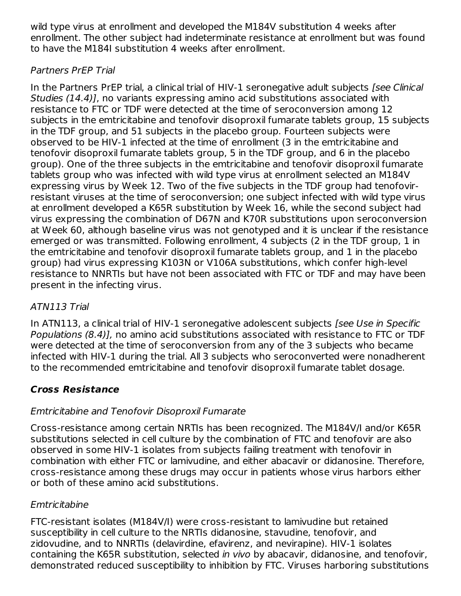wild type virus at enrollment and developed the M184V substitution 4 weeks after enrollment. The other subject had indeterminate resistance at enrollment but was found to have the M184I substitution 4 weeks after enrollment.

# Partners PrEP Trial

In the Partners PrEP trial, a clinical trial of HIV-1 seronegative adult subjects [see Clinical Studies (14.4)], no variants expressing amino acid substitutions associated with resistance to FTC or TDF were detected at the time of seroconversion among 12 subjects in the emtricitabine and tenofovir disoproxil fumarate tablets group, 15 subjects in the TDF group, and 51 subjects in the placebo group. Fourteen subjects were observed to be HIV-1 infected at the time of enrollment (3 in the emtricitabine and tenofovir disoproxil fumarate tablets group, 5 in the TDF group, and 6 in the placebo group). One of the three subjects in the emtricitabine and tenofovir disoproxil fumarate tablets group who was infected with wild type virus at enrollment selected an M184V expressing virus by Week 12. Two of the five subjects in the TDF group had tenofovirresistant viruses at the time of seroconversion; one subject infected with wild type virus at enrollment developed a K65R substitution by Week 16, while the second subject had virus expressing the combination of D67N and K70R substitutions upon seroconversion at Week 60, although baseline virus was not genotyped and it is unclear if the resistance emerged or was transmitted. Following enrollment, 4 subjects (2 in the TDF group, 1 in the emtricitabine and tenofovir disoproxil fumarate tablets group, and 1 in the placebo group) had virus expressing K103N or V106A substitutions, which confer high-level resistance to NNRTIs but have not been associated with FTC or TDF and may have been present in the infecting virus.

# ATN113 Trial

In ATN113, a clinical trial of HIV-1 seronegative adolescent subjects [see Use in Specific Populations (8.4)], no amino acid substitutions associated with resistance to FTC or TDF were detected at the time of seroconversion from any of the 3 subjects who became infected with HIV-1 during the trial. All 3 subjects who seroconverted were nonadherent to the recommended emtricitabine and tenofovir disoproxil fumarate tablet dosage.

# **Cross Resistance**

# Emtricitabine and Tenofovir Disoproxil Fumarate

Cross-resistance among certain NRTIs has been recognized. The M184V/I and/or K65R substitutions selected in cell culture by the combination of FTC and tenofovir are also observed in some HIV-1 isolates from subjects failing treatment with tenofovir in combination with either FTC or lamivudine, and either abacavir or didanosine. Therefore, cross-resistance among these drugs may occur in patients whose virus harbors either or both of these amino acid substitutions.

# **Emtricitabine**

FTC-resistant isolates (M184V/I) were cross-resistant to lamivudine but retained susceptibility in cell culture to the NRTIs didanosine, stavudine, tenofovir, and zidovudine, and to NNRTIs (delavirdine, efavirenz, and nevirapine). HIV-1 isolates containing the K65R substitution, selected in vivo by abacavir, didanosine, and tenofovir, demonstrated reduced susceptibility to inhibition by FTC. Viruses harboring substitutions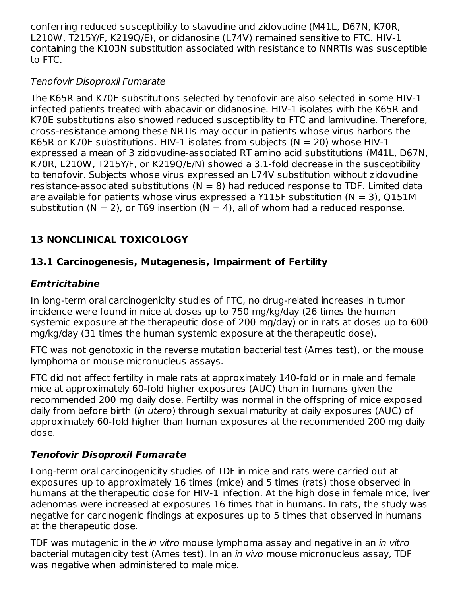conferring reduced susceptibility to stavudine and zidovudine (M41L, D67N, K70R, L210W, T215Y/F, K219Q/E), or didanosine (L74V) remained sensitive to FTC. HIV-1 containing the K103N substitution associated with resistance to NNRTIs was susceptible to FTC.

# Tenofovir Disoproxil Fumarate

The K65R and K70E substitutions selected by tenofovir are also selected in some HIV-1 infected patients treated with abacavir or didanosine. HIV-1 isolates with the K65R and K70E substitutions also showed reduced susceptibility to FTC and lamivudine. Therefore, cross-resistance among these NRTIs may occur in patients whose virus harbors the K65R or K70E substitutions. HIV-1 isolates from subjects ( $N = 20$ ) whose HIV-1 expressed a mean of 3 zidovudine-associated RT amino acid substitutions (M41L, D67N, K70R, L210W, T215Y/F, or K219Q/E/N) showed a 3.1-fold decrease in the susceptibility to tenofovir. Subjects whose virus expressed an L74V substitution without zidovudine resistance-associated substitutions ( $N = 8$ ) had reduced response to TDF. Limited data are available for patients whose virus expressed a Y115F substitution ( $N = 3$ ), Q151M substitution ( $N = 2$ ), or T69 insertion ( $N = 4$ ), all of whom had a reduced response.

# **13 NONCLINICAL TOXICOLOGY**

# **13.1 Carcinogenesis, Mutagenesis, Impairment of Fertility**

# **Emtricitabine**

In long-term oral carcinogenicity studies of FTC, no drug-related increases in tumor incidence were found in mice at doses up to 750 mg/kg/day (26 times the human systemic exposure at the therapeutic dose of 200 mg/day) or in rats at doses up to 600 mg/kg/day (31 times the human systemic exposure at the therapeutic dose).

FTC was not genotoxic in the reverse mutation bacterial test (Ames test), or the mouse lymphoma or mouse micronucleus assays.

FTC did not affect fertility in male rats at approximately 140-fold or in male and female mice at approximately 60-fold higher exposures (AUC) than in humans given the recommended 200 mg daily dose. Fertility was normal in the offspring of mice exposed daily from before birth (in utero) through sexual maturity at daily exposures (AUC) of approximately 60-fold higher than human exposures at the recommended 200 mg daily dose.

# **Tenofovir Disoproxil Fumarate**

Long-term oral carcinogenicity studies of TDF in mice and rats were carried out at exposures up to approximately 16 times (mice) and 5 times (rats) those observed in humans at the therapeutic dose for HIV-1 infection. At the high dose in female mice, liver adenomas were increased at exposures 16 times that in humans. In rats, the study was negative for carcinogenic findings at exposures up to 5 times that observed in humans at the therapeutic dose.

TDF was mutagenic in the *in vitro* mouse lymphoma assay and negative in an *in vitro* bacterial mutagenicity test (Ames test). In an in vivo mouse micronucleus assay, TDF was negative when administered to male mice.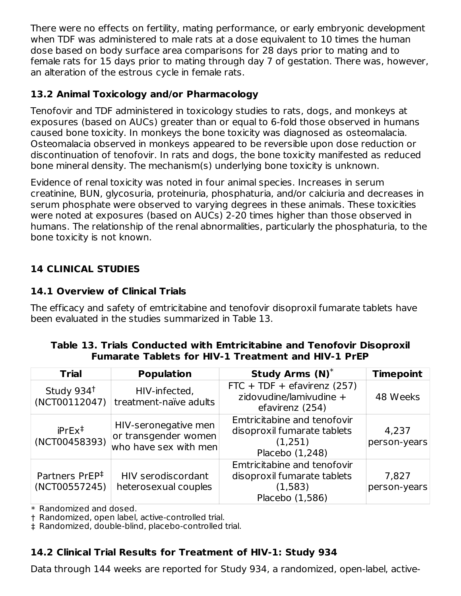There were no effects on fertility, mating performance, or early embryonic development when TDF was administered to male rats at a dose equivalent to 10 times the human dose based on body surface area comparisons for 28 days prior to mating and to female rats for 15 days prior to mating through day 7 of gestation. There was, however, an alteration of the estrous cycle in female rats.

## **13.2 Animal Toxicology and/or Pharmacology**

Tenofovir and TDF administered in toxicology studies to rats, dogs, and monkeys at exposures (based on AUCs) greater than or equal to 6-fold those observed in humans caused bone toxicity. In monkeys the bone toxicity was diagnosed as osteomalacia. Osteomalacia observed in monkeys appeared to be reversible upon dose reduction or discontinuation of tenofovir. In rats and dogs, the bone toxicity manifested as reduced bone mineral density. The mechanism(s) underlying bone toxicity is unknown.

Evidence of renal toxicity was noted in four animal species. Increases in serum creatinine, BUN, glycosuria, proteinuria, phosphaturia, and/or calciuria and decreases in serum phosphate were observed to varying degrees in these animals. These toxicities were noted at exposures (based on AUCs) 2-20 times higher than those observed in humans. The relationship of the renal abnormalities, particularly the phosphaturia, to the bone toxicity is not known.

# **14 CLINICAL STUDIES**

# **14.1 Overview of Clinical Trials**

The efficacy and safety of emtricitabine and tenofovir disoproxil fumarate tablets have been evaluated in the studies summarized in Table 13.

### **Table 13. Trials Conducted with Emtricitabine and Tenofovir Disoproxil Fumarate Tablets for HIV-1 Treatment and HIV-1 PrEP**

| <b>Trial</b>                                | <b>Population</b>                                                     | <b>Study Arms (N)*</b>                                                                   | <b>Timepoint</b>      |
|---------------------------------------------|-----------------------------------------------------------------------|------------------------------------------------------------------------------------------|-----------------------|
| Study 934 <sup>t</sup><br>(NCT00112047)     | HIV-infected,<br>treatment-naïve adults                               | FTC + TDF + efavirenz $(257)$<br>zidovudine/lamivudine +<br>efavirenz (254)              | 48 Weeks              |
| $iPrEx^{\ddagger}$<br>(NCT00458393)         | HIV-seronegative men<br>or transgender women<br>who have sex with men | Emtricitabine and tenofovir<br>disoproxil fumarate tablets<br>(1,251)<br>Placebo (1,248) | 4,237<br>person-years |
| Partners PrEP <sup>‡</sup><br>(NCT00557245) | HIV serodiscordant<br>heterosexual couples                            | Emtricitabine and tenofovir<br>disoproxil fumarate tablets<br>(1,583)<br>Placebo (1,586) | 7,827<br>person-years |

\* Randomized and dosed.

† Randomized, open label, active-controlled trial.

‡ Randomized, double-blind, placebo-controlled trial.

## **14.2 Clinical Trial Results for Treatment of HIV-1: Study 934**

Data through 144 weeks are reported for Study 934, a randomized, open-label, active-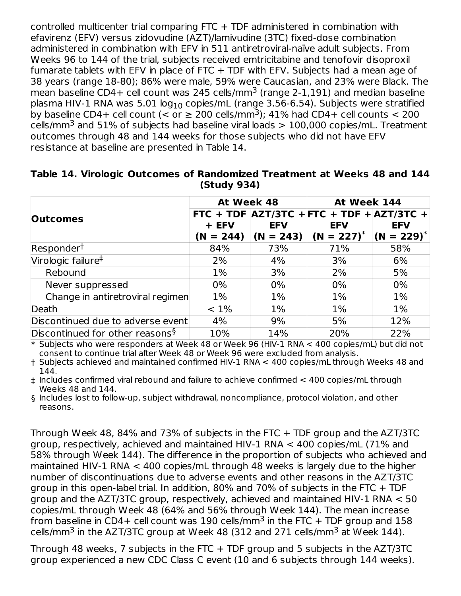controlled multicenter trial comparing FTC + TDF administered in combination with efavirenz (EFV) versus zidovudine (AZT)/lamivudine (3TC) fixed-dose combination administered in combination with EFV in 511 antiretroviral-naïve adult subjects. From Weeks 96 to 144 of the trial, subjects received emtricitabine and tenofovir disoproxil fumarate tablets with EFV in place of FTC  $+$  TDF with EFV. Subjects had a mean age of 38 years (range 18-80); 86% were male, 59% were Caucasian, and 23% were Black. The mean baseline CD4+ cell count was 245 cells/mm $^3$  (range 2-1,191) and median baseline plasma HIV-1 RNA was 5.01 log $_{10}$  copies/mL (range 3.56-6.54). Subjects were stratified by baseline CD4+ cell count (< or  $\geq 200$  cells/mm<sup>3</sup>); 41% had CD4+ cell counts < 200 cells/mm $^3$  and 51% of subjects had baseline viral loads  $>$  100,000 copies/mL. Treatment outcomes through 48 and 144 weeks for those subjects who did not have EFV resistance at baseline are presented in Table 14.

|                                             | At Week 48           |            | At Week 144                                                                                            |            |  |
|---------------------------------------------|----------------------|------------|--------------------------------------------------------------------------------------------------------|------------|--|
| <b>Outcomes</b>                             | + EFV<br>$(N = 244)$ | <b>EFV</b> | FTC + TDF $ AZT/3TC + FTC + TDF +  AZT/3TC +$<br><b>EFV</b><br>$(N = 243)$ $(N = 227)^*$ $(N = 229)^*$ | <b>EFV</b> |  |
| Responder <sup>†</sup>                      | 84%                  | 73%        | 71%                                                                                                    | 58%        |  |
| Virologic failure <sup>‡</sup>              | 2%                   | 4%         | 3%                                                                                                     | 6%         |  |
| Rebound                                     | $1\%$                | 3%         | 2%                                                                                                     | 5%         |  |
| Never suppressed                            | $0\%$                | $0\%$      | 0%                                                                                                     | $0\%$      |  |
| Change in antiretroviral regimen            | $1\%$                | $1\%$      | $1\%$                                                                                                  | $1\%$      |  |
| Death                                       | $< 1\%$              | $1\%$      | $1\%$                                                                                                  | $1\%$      |  |
| Discontinued due to adverse event           | 4%                   | 9%         | 5%                                                                                                     | 12%        |  |
| Discontinued for other reasons <sup>§</sup> | 10%                  | 14%        | 20%                                                                                                    | 22%        |  |

#### **Table 14. Virologic Outcomes of Randomized Treatment at Weeks 48 and 144 (Study 934)**

\* Subjects who were responders at Week 48 or Week 96 (HIV-1 RNA < 400 copies/mL) but did not consent to continue trial after Week 48 or Week 96 were excluded from analysis.

† Subjects achieved and maintained confirmed HIV-1 RNA < 400 copies/mL through Weeks 48 and 144.

‡ Includes confirmed viral rebound and failure to achieve confirmed < 400 copies/mL through Weeks 48 and 144.

§ Includes lost to follow-up, subject withdrawal, noncompliance, protocol violation, and other reasons.

Through Week 48, 84% and 73% of subjects in the FTC + TDF group and the AZT/3TC group, respectively, achieved and maintained HIV-1 RNA < 400 copies/mL (71% and 58% through Week 144). The difference in the proportion of subjects who achieved and maintained HIV-1 RNA < 400 copies/mL through 48 weeks is largely due to the higher number of discontinuations due to adverse events and other reasons in the AZT/3TC group in this open-label trial. In addition, 80% and 70% of subjects in the FTC + TDF group and the AZT/3TC group, respectively, achieved and maintained HIV-1 RNA < 50 copies/mL through Week 48 (64% and 56% through Week 144). The mean increase from baseline in CD4+ cell count was 190 cells/mm $^3$  in the FTC + TDF group and 158 cells/mm $^3$  in the AZT/3TC group at Week 48 (312 and 271 cells/mm $^3$  at Week 144).

Through 48 weeks, 7 subjects in the FTC + TDF group and 5 subjects in the AZT/3TC group experienced a new CDC Class C event (10 and 6 subjects through 144 weeks).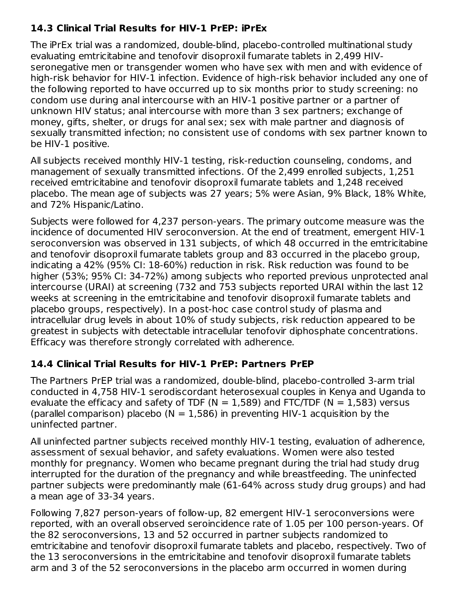# **14.3 Clinical Trial Results for HIV-1 PrEP: iPrEx**

The iPrEx trial was a randomized, double-blind, placebo-controlled multinational study evaluating emtricitabine and tenofovir disoproxil fumarate tablets in 2,499 HIVseronegative men or transgender women who have sex with men and with evidence of high-risk behavior for HIV-1 infection. Evidence of high-risk behavior included any one of the following reported to have occurred up to six months prior to study screening: no condom use during anal intercourse with an HIV-1 positive partner or a partner of unknown HIV status; anal intercourse with more than 3 sex partners; exchange of money, gifts, shelter, or drugs for anal sex; sex with male partner and diagnosis of sexually transmitted infection; no consistent use of condoms with sex partner known to be HIV-1 positive.

All subjects received monthly HIV-1 testing, risk-reduction counseling, condoms, and management of sexually transmitted infections. Of the 2,499 enrolled subjects, 1,251 received emtricitabine and tenofovir disoproxil fumarate tablets and 1,248 received placebo. The mean age of subjects was 27 years; 5% were Asian, 9% Black, 18% White, and 72% Hispanic/Latino.

Subjects were followed for 4,237 person-years. The primary outcome measure was the incidence of documented HIV seroconversion. At the end of treatment, emergent HIV-1 seroconversion was observed in 131 subjects, of which 48 occurred in the emtricitabine and tenofovir disoproxil fumarate tablets group and 83 occurred in the placebo group, indicating a 42% (95% CI: 18-60%) reduction in risk. Risk reduction was found to be higher (53%; 95% CI: 34-72%) among subjects who reported previous unprotected anal intercourse (URAI) at screening (732 and 753 subjects reported URAI within the last 12 weeks at screening in the emtricitabine and tenofovir disoproxil fumarate tablets and placebo groups, respectively). In a post-hoc case control study of plasma and intracellular drug levels in about 10% of study subjects, risk reduction appeared to be greatest in subjects with detectable intracellular tenofovir diphosphate concentrations. Efficacy was therefore strongly correlated with adherence.

## **14.4 Clinical Trial Results for HIV-1 PrEP: Partners PrEP**

The Partners PrEP trial was a randomized, double-blind, placebo-controlled 3-arm trial conducted in 4,758 HIV-1 serodiscordant heterosexual couples in Kenya and Uganda to evaluate the efficacy and safety of TDF ( $N = 1,589$ ) and FTC/TDF ( $N = 1,583$ ) versus (parallel comparison) placebo ( $N = 1,586$ ) in preventing HIV-1 acquisition by the uninfected partner.

All uninfected partner subjects received monthly HIV-1 testing, evaluation of adherence, assessment of sexual behavior, and safety evaluations. Women were also tested monthly for pregnancy. Women who became pregnant during the trial had study drug interrupted for the duration of the pregnancy and while breastfeeding. The uninfected partner subjects were predominantly male (61-64% across study drug groups) and had a mean age of 33-34 years.

Following 7,827 person-years of follow-up, 82 emergent HIV-1 seroconversions were reported, with an overall observed seroincidence rate of 1.05 per 100 person-years. Of the 82 seroconversions, 13 and 52 occurred in partner subjects randomized to emtricitabine and tenofovir disoproxil fumarate tablets and placebo, respectively. Two of the 13 seroconversions in the emtricitabine and tenofovir disoproxil fumarate tablets arm and 3 of the 52 seroconversions in the placebo arm occurred in women during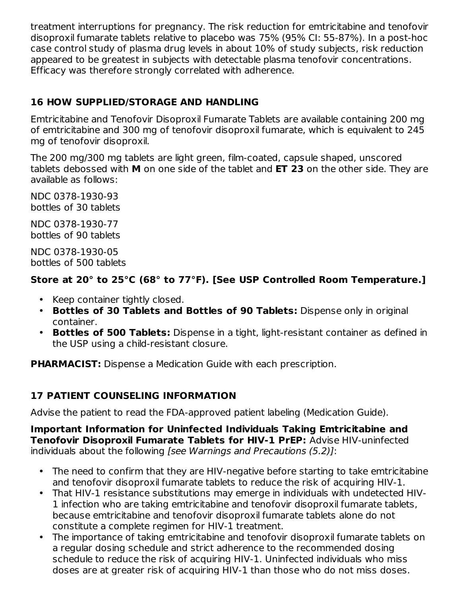treatment interruptions for pregnancy. The risk reduction for emtricitabine and tenofovir disoproxil fumarate tablets relative to placebo was 75% (95% CI: 55-87%). In a post-hoc case control study of plasma drug levels in about 10% of study subjects, risk reduction appeared to be greatest in subjects with detectable plasma tenofovir concentrations. Efficacy was therefore strongly correlated with adherence.

# **16 HOW SUPPLIED/STORAGE AND HANDLING**

Emtricitabine and Tenofovir Disoproxil Fumarate Tablets are available containing 200 mg of emtricitabine and 300 mg of tenofovir disoproxil fumarate, which is equivalent to 245 mg of tenofovir disoproxil.

The 200 mg/300 mg tablets are light green, film-coated, capsule shaped, unscored tablets debossed with **M** on one side of the tablet and **ET 23** on the other side. They are available as follows:

NDC 0378-1930-93 bottles of 30 tablets

NDC 0378-1930-77 bottles of 90 tablets

NDC 0378-1930-05 bottles of 500 tablets

# **Store at 20° to 25°C (68° to 77°F). [See USP Controlled Room Temperature.]**

- Keep container tightly closed.
- **Bottles of 30 Tablets and Bottles of 90 Tablets:** Dispense only in original container.
- **Bottles of 500 Tablets:** Dispense in a tight, light-resistant container as defined in the USP using a child-resistant closure.

**PHARMACIST:** Dispense a Medication Guide with each prescription.

# **17 PATIENT COUNSELING INFORMATION**

Advise the patient to read the FDA-approved patient labeling (Medication Guide).

**Important Information for Uninfected Individuals Taking Emtricitabine and Tenofovir Disoproxil Fumarate Tablets for HIV-1 PrEP:** Advise HIV-uninfected individuals about the following [see Warnings and Precautions (5.2)]:

- The need to confirm that they are HIV-negative before starting to take emtricitabine and tenofovir disoproxil fumarate tablets to reduce the risk of acquiring HIV-1.
- That HIV-1 resistance substitutions may emerge in individuals with undetected HIV-1 infection who are taking emtricitabine and tenofovir disoproxil fumarate tablets, because emtricitabine and tenofovir disoproxil fumarate tablets alone do not constitute a complete regimen for HIV-1 treatment.
- The importance of taking emtricitabine and tenofovir disoproxil fumarate tablets on a regular dosing schedule and strict adherence to the recommended dosing schedule to reduce the risk of acquiring HIV-1. Uninfected individuals who miss doses are at greater risk of acquiring HIV-1 than those who do not miss doses.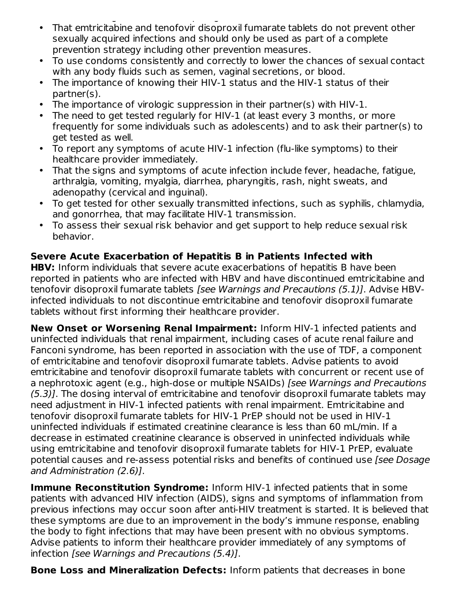- doses are at greater risk of acquiring HIV-1 than those who do not miss doses. That emtricitabine and tenofovir disoproxil fumarate tablets do not prevent other sexually acquired infections and should only be used as part of a complete prevention strategy including other prevention measures.
- To use condoms consistently and correctly to lower the chances of sexual contact with any body fluids such as semen, vaginal secretions, or blood.
- The importance of knowing their HIV-1 status and the HIV-1 status of their partner(s).
- The importance of virologic suppression in their partner(s) with HIV-1.
- The need to get tested regularly for HIV-1 (at least every 3 months, or more frequently for some individuals such as adolescents) and to ask their partner(s) to get tested as well.
- To report any symptoms of acute HIV-1 infection (flu-like symptoms) to their healthcare provider immediately.
- That the signs and symptoms of acute infection include fever, headache, fatigue, arthralgia, vomiting, myalgia, diarrhea, pharyngitis, rash, night sweats, and adenopathy (cervical and inguinal).
- To get tested for other sexually transmitted infections, such as syphilis, chlamydia, and gonorrhea, that may facilitate HIV-1 transmission.
- To assess their sexual risk behavior and get support to help reduce sexual risk behavior.

# **Severe Acute Exacerbation of Hepatitis B in Patients Infected with**

**HBV:** Inform individuals that severe acute exacerbations of hepatitis B have been reported in patients who are infected with HBV and have discontinued emtricitabine and tenofovir disoproxil fumarate tablets [see Warnings and Precautions (5.1)]. Advise HBVinfected individuals to not discontinue emtricitabine and tenofovir disoproxil fumarate tablets without first informing their healthcare provider.

**New Onset or Worsening Renal Impairment:** Inform HIV-1 infected patients and uninfected individuals that renal impairment, including cases of acute renal failure and Fanconi syndrome, has been reported in association with the use of TDF, a component of emtricitabine and tenofovir disoproxil fumarate tablets. Advise patients to avoid emtricitabine and tenofovir disoproxil fumarate tablets with concurrent or recent use of a nephrotoxic agent (e.g., high-dose or multiple NSAIDs) [see Warnings and Precautions (5.3)]. The dosing interval of emtricitabine and tenofovir disoproxil fumarate tablets may need adjustment in HIV-1 infected patients with renal impairment. Emtricitabine and tenofovir disoproxil fumarate tablets for HIV-1 PrEP should not be used in HIV-1 uninfected individuals if estimated creatinine clearance is less than 60 mL/min. If a decrease in estimated creatinine clearance is observed in uninfected individuals while using emtricitabine and tenofovir disoproxil fumarate tablets for HIV-1 PrEP, evaluate potential causes and re-assess potential risks and benefits of continued use [see Dosage and Administration (2.6)].

**Immune Reconstitution Syndrome:** Inform HIV-1 infected patients that in some patients with advanced HIV infection (AIDS), signs and symptoms of inflammation from previous infections may occur soon after anti-HIV treatment is started. It is believed that these symptoms are due to an improvement in the body's immune response, enabling the body to fight infections that may have been present with no obvious symptoms. Advise patients to inform their healthcare provider immediately of any symptoms of infection [see Warnings and Precautions (5.4)].

**Bone Loss and Mineralization Defects:** Inform patients that decreases in bone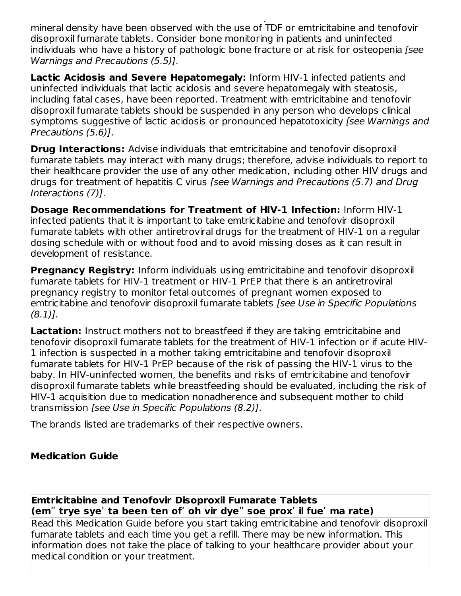**Bone Loss and Mineralization Defects:** Inform patients that decreases in bone mineral density have been observed with the use of TDF or emtricitabine and tenofovir disoproxil fumarate tablets. Consider bone monitoring in patients and uninfected individuals who have a history of pathologic bone fracture or at risk for osteopenia [see Warnings and Precautions (5.5)].

**Lactic Acidosis and Severe Hepatomegaly:** Inform HIV-1 infected patients and uninfected individuals that lactic acidosis and severe hepatomegaly with steatosis, including fatal cases, have been reported. Treatment with emtricitabine and tenofovir disoproxil fumarate tablets should be suspended in any person who develops clinical symptoms suggestive of lactic acidosis or pronounced hepatotoxicity (see Warnings and Precautions (5.6)].

**Drug Interactions:** Advise individuals that emtricitabine and tenofovir disoproxil fumarate tablets may interact with many drugs; therefore, advise individuals to report to their healthcare provider the use of any other medication, including other HIV drugs and drugs for treatment of hepatitis C virus [see Warnings and Precautions (5.7) and Drug Interactions (7)].

**Dosage Recommendations for Treatment of HIV-1 Infection:** Inform HIV-1 infected patients that it is important to take emtricitabine and tenofovir disoproxil fumarate tablets with other antiretroviral drugs for the treatment of HIV-1 on a regular dosing schedule with or without food and to avoid missing doses as it can result in development of resistance.

**Pregnancy Registry:** Inform individuals using emtricitabine and tenofovir disoproxil fumarate tablets for HIV-1 treatment or HIV-1 PrEP that there is an antiretroviral pregnancy registry to monitor fetal outcomes of pregnant women exposed to emtricitabine and tenofovir disoproxil fumarate tablets [see Use in Specific Populations  $(8.1)$ .

**Lactation:** Instruct mothers not to breastfeed if they are taking emtricitabine and tenofovir disoproxil fumarate tablets for the treatment of HIV-1 infection or if acute HIV-1 infection is suspected in a mother taking emtricitabine and tenofovir disoproxil fumarate tablets for HIV-1 PrEP because of the risk of passing the HIV-1 virus to the baby. In HIV-uninfected women, the benefits and risks of emtricitabine and tenofovir disoproxil fumarate tablets while breastfeeding should be evaluated, including the risk of HIV-1 acquisition due to medication nonadherence and subsequent mother to child transmission [see Use in Specific Populations (8.2)].

The brands listed are trademarks of their respective owners.

## **Medication Guide**

**Emtricitabine and Tenofovir Disoproxil Fumarate Tablets (emʺ trye syeʹ ta been ten ofʹ oh vir dyeʺ soe proxʹ il fueʹ ma rate)**

Read this Medication Guide before you start taking emtricitabine and tenofovir disoproxil fumarate tablets and each time you get a refill. There may be new information. This information does not take the place of talking to your healthcare provider about your medical condition or your treatment.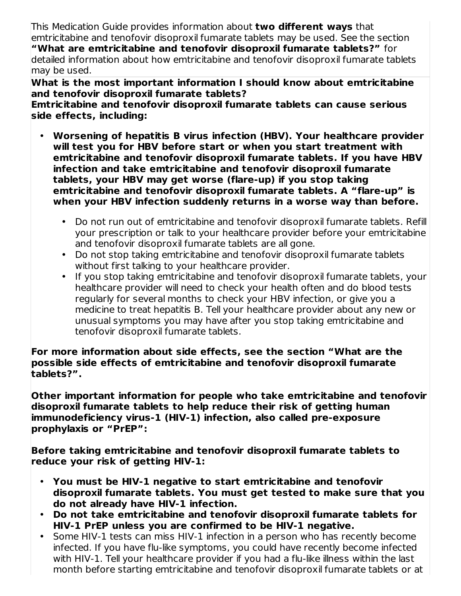This Medication Guide provides information about **two different ways** that emtricitabine and tenofovir disoproxil fumarate tablets may be used. See the section **"What are emtricitabine and tenofovir disoproxil fumarate tablets?"** for detailed information about how emtricitabine and tenofovir disoproxil fumarate tablets may be used.

**What is the most important information I should know about emtricitabine and tenofovir disoproxil fumarate tablets?**

**Emtricitabine and tenofovir disoproxil fumarate tablets can cause serious side effects, including:**

- **Worsening of hepatitis B virus infection (HBV). Your healthcare provider will test you for HBV before start or when you start treatment with emtricitabine and tenofovir disoproxil fumarate tablets. If you have HBV infection and take emtricitabine and tenofovir disoproxil fumarate tablets, your HBV may get worse (flare-up) if you stop taking emtricitabine and tenofovir disoproxil fumarate tablets. A "flare-up" is when your HBV infection suddenly returns in a worse way than before.**
	- Do not run out of emtricitabine and tenofovir disoproxil fumarate tablets. Refill your prescription or talk to your healthcare provider before your emtricitabine and tenofovir disoproxil fumarate tablets are all gone.
	- Do not stop taking emtricitabine and tenofovir disoproxil fumarate tablets without first talking to your healthcare provider.
	- If you stop taking emtricitabine and tenofovir disoproxil fumarate tablets, your healthcare provider will need to check your health often and do blood tests regularly for several months to check your HBV infection, or give you a medicine to treat hepatitis B. Tell your healthcare provider about any new or unusual symptoms you may have after you stop taking emtricitabine and tenofovir disoproxil fumarate tablets.

**For more information about side effects, see the section "What are the possible side effects of emtricitabine and tenofovir disoproxil fumarate tablets?".**

**Other important information for people who take emtricitabine and tenofovir disoproxil fumarate tablets to help reduce their risk of getting human immunodeficiency virus-1 (HIV-1) infection, also called pre-exposure prophylaxis or "PrEP":**

**Before taking emtricitabine and tenofovir disoproxil fumarate tablets to reduce your risk of getting HIV-1:**

- **You must be HIV-1 negative to start emtricitabine and tenofovir disoproxil fumarate tablets. You must get tested to make sure that you do not already have HIV-1 infection.**
- **Do not take emtricitabine and tenofovir disoproxil fumarate tablets for HIV-1 PrEP unless you are confirmed to be HIV-1 negative.**
- Some HIV-1 tests can miss HIV-1 infection in a person who has recently become infected. If you have flu-like symptoms, you could have recently become infected with HIV-1. Tell your healthcare provider if you had a flu-like illness within the last month before starting emtricitabine and tenofovir disoproxil fumarate tablets or at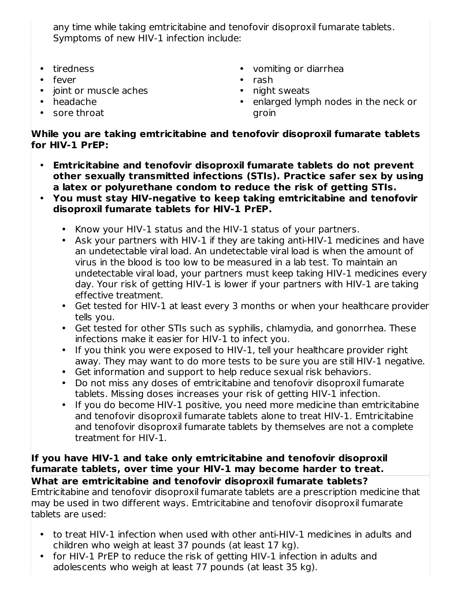any time while taking emtricitabine and tenofovir disoproxil fumarate tablets. Symptoms of new HIV-1 infection include:

- tiredness
- fever
- joint or muscle aches
- headache
- sore throat
- vomiting or diarrhea
- rash
- night sweats
- enlarged lymph nodes in the neck or groin

## **While you are taking emtricitabine and tenofovir disoproxil fumarate tablets for HIV-1 PrEP:**

- **Emtricitabine and tenofovir disoproxil fumarate tablets do not prevent other sexually transmitted infections (STIs). Practice safer sex by using a latex or polyurethane condom to reduce the risk of getting STIs.**
- **You must stay HIV-negative to keep taking emtricitabine and tenofovir disoproxil fumarate tablets for HIV-1 PrEP.**
	- Know your HIV-1 status and the HIV-1 status of your partners.
	- Ask your partners with HIV-1 if they are taking anti-HIV-1 medicines and have an undetectable viral load. An undetectable viral load is when the amount of virus in the blood is too low to be measured in a lab test. To maintain an undetectable viral load, your partners must keep taking HIV-1 medicines every day. Your risk of getting HIV-1 is lower if your partners with HIV-1 are taking effective treatment.
	- Get tested for HIV-1 at least every 3 months or when your healthcare provider tells you.
	- Get tested for other STIs such as syphilis, chlamydia, and gonorrhea. These infections make it easier for HIV-1 to infect you.
	- If you think you were exposed to HIV-1, tell your healthcare provider right away. They may want to do more tests to be sure you are still HIV-1 negative.
	- Get information and support to help reduce sexual risk behaviors.
	- Do not miss any doses of emtricitabine and tenofovir disoproxil fumarate tablets. Missing doses increases your risk of getting HIV-1 infection.
	- If you do become HIV-1 positive, you need more medicine than emtricitabine and tenofovir disoproxil fumarate tablets alone to treat HIV-1. Emtricitabine and tenofovir disoproxil fumarate tablets by themselves are not a complete treatment for HIV-1.

#### **If you have HIV-1 and take only emtricitabine and tenofovir disoproxil fumarate tablets, over time your HIV-1 may become harder to treat. What are emtricitabine and tenofovir disoproxil fumarate tablets?**

Emtricitabine and tenofovir disoproxil fumarate tablets are a prescription medicine that may be used in two different ways. Emtricitabine and tenofovir disoproxil fumarate tablets are used:

- to treat HIV-1 infection when used with other anti-HIV-1 medicines in adults and children who weigh at least 37 pounds (at least 17 kg).
- for HIV-1 PrEP to reduce the risk of getting HIV-1 infection in adults and adolescents who weigh at least 77 pounds (at least 35 kg).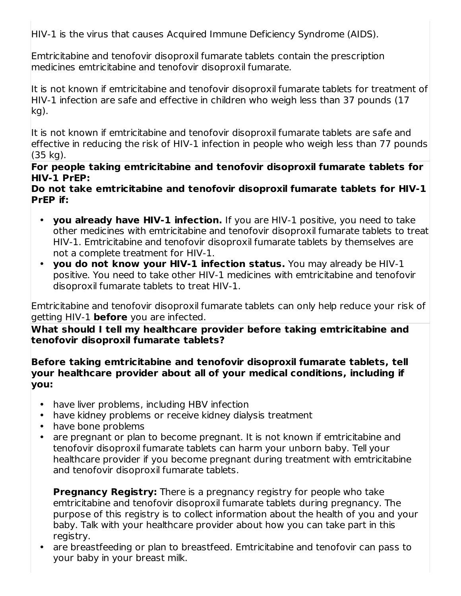HIV-1 is the virus that causes Acquired Immune Deficiency Syndrome (AIDS).

Emtricitabine and tenofovir disoproxil fumarate tablets contain the prescription medicines emtricitabine and tenofovir disoproxil fumarate.

It is not known if emtricitabine and tenofovir disoproxil fumarate tablets for treatment of HIV-1 infection are safe and effective in children who weigh less than 37 pounds (17 kg).

It is not known if emtricitabine and tenofovir disoproxil fumarate tablets are safe and effective in reducing the risk of HIV-1 infection in people who weigh less than 77 pounds (35 kg).

**For people taking emtricitabine and tenofovir disoproxil fumarate tablets for HIV-1 PrEP:**

**Do not take emtricitabine and tenofovir disoproxil fumarate tablets for HIV-1 PrEP if:**

- **you already have HIV-1 infection.** If you are HIV-1 positive, you need to take other medicines with emtricitabine and tenofovir disoproxil fumarate tablets to treat HIV-1. Emtricitabine and tenofovir disoproxil fumarate tablets by themselves are not a complete treatment for HIV-1.
- **you do not know your HIV-1 infection status.** You may already be HIV-1 positive. You need to take other HIV-1 medicines with emtricitabine and tenofovir disoproxil fumarate tablets to treat HIV-1.

Emtricitabine and tenofovir disoproxil fumarate tablets can only help reduce your risk of getting HIV-1 **before** you are infected.

**What should I tell my healthcare provider before taking emtricitabine and tenofovir disoproxil fumarate tablets?**

**Before taking emtricitabine and tenofovir disoproxil fumarate tablets, tell your healthcare provider about all of your medical conditions, including if you:**

- have liver problems, including HBV infection
- have kidney problems or receive kidney dialysis treatment
- $\bullet$ have bone problems
- are pregnant or plan to become pregnant. It is not known if emtricitabine and tenofovir disoproxil fumarate tablets can harm your unborn baby. Tell your healthcare provider if you become pregnant during treatment with emtricitabine and tenofovir disoproxil fumarate tablets.

**Pregnancy Registry:** There is a pregnancy registry for people who take emtricitabine and tenofovir disoproxil fumarate tablets during pregnancy. The purpose of this registry is to collect information about the health of you and your baby. Talk with your healthcare provider about how you can take part in this registry.

• are breastfeeding or plan to breastfeed. Emtricitabine and tenofovir can pass to your baby in your breast milk.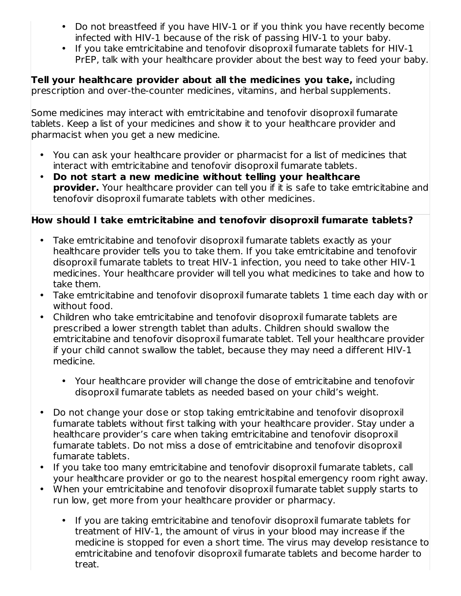- Do not breastfeed if you have HIV-1 or if you think you have recently become infected with HIV-1 because of the risk of passing HIV-1 to your baby.
- If you take emtricitabine and tenofovir disoproxil fumarate tablets for HIV-1 PrEP, talk with your healthcare provider about the best way to feed your baby.

**Tell your healthcare provider about all the medicines you take,** including prescription and over-the-counter medicines, vitamins, and herbal supplements.

Some medicines may interact with emtricitabine and tenofovir disoproxil fumarate tablets. Keep a list of your medicines and show it to your healthcare provider and pharmacist when you get a new medicine.

- You can ask your healthcare provider or pharmacist for a list of medicines that interact with emtricitabine and tenofovir disoproxil fumarate tablets.
- **Do not start a new medicine without telling your healthcare provider.** Your healthcare provider can tell you if it is safe to take emtricitabine and tenofovir disoproxil fumarate tablets with other medicines.

## **How should I take emtricitabine and tenofovir disoproxil fumarate tablets?**

- Take emtricitabine and tenofovir disoproxil fumarate tablets exactly as your healthcare provider tells you to take them. If you take emtricitabine and tenofovir disoproxil fumarate tablets to treat HIV-1 infection, you need to take other HIV-1 medicines. Your healthcare provider will tell you what medicines to take and how to take them.
- $\bullet$ Take emtricitabine and tenofovir disoproxil fumarate tablets 1 time each day with or without food.
- Children who take emtricitabine and tenofovir disoproxil fumarate tablets are prescribed a lower strength tablet than adults. Children should swallow the emtricitabine and tenofovir disoproxil fumarate tablet. Tell your healthcare provider if your child cannot swallow the tablet, because they may need a different HIV-1 medicine.
	- Your healthcare provider will change the dose of emtricitabine and tenofovir disoproxil fumarate tablets as needed based on your child's weight.
- Do not change your dose or stop taking emtricitabine and tenofovir disoproxil fumarate tablets without first talking with your healthcare provider. Stay under a healthcare provider's care when taking emtricitabine and tenofovir disoproxil fumarate tablets. Do not miss a dose of emtricitabine and tenofovir disoproxil fumarate tablets.
- If you take too many emtricitabine and tenofovir disoproxil fumarate tablets, call your healthcare provider or go to the nearest hospital emergency room right away.
- When your emtricitabine and tenofovir disoproxil fumarate tablet supply starts to run low, get more from your healthcare provider or pharmacy.
	- If you are taking emtricitabine and tenofovir disoproxil fumarate tablets for treatment of HIV-1, the amount of virus in your blood may increase if the medicine is stopped for even a short time. The virus may develop resistance to emtricitabine and tenofovir disoproxil fumarate tablets and become harder to treat.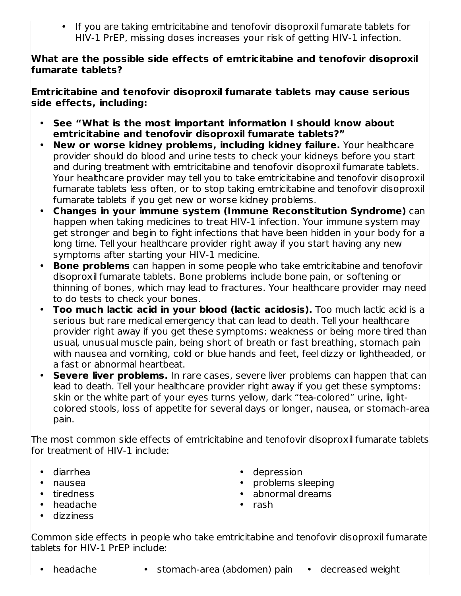• If you are taking emtricitabine and tenofovir disoproxil fumarate tablets for HIV-1 PrEP, missing doses increases your risk of getting HIV-1 infection.

**What are the possible side effects of emtricitabine and tenofovir disoproxil fumarate tablets?**

**Emtricitabine and tenofovir disoproxil fumarate tablets may cause serious side effects, including:**

- **See "What is the most important information I should know about emtricitabine and tenofovir disoproxil fumarate tablets?"**
- **New or worse kidney problems, including kidney failure.** Your healthcare provider should do blood and urine tests to check your kidneys before you start and during treatment with emtricitabine and tenofovir disoproxil fumarate tablets. Your healthcare provider may tell you to take emtricitabine and tenofovir disoproxil fumarate tablets less often, or to stop taking emtricitabine and tenofovir disoproxil fumarate tablets if you get new or worse kidney problems.
- **Changes in your immune system (Immune Reconstitution Syndrome)** can happen when taking medicines to treat HIV-1 infection. Your immune system may get stronger and begin to fight infections that have been hidden in your body for a long time. Tell your healthcare provider right away if you start having any new symptoms after starting your HIV-1 medicine.
- **Bone problems** can happen in some people who take emtricitabine and tenofovir disoproxil fumarate tablets. Bone problems include bone pain, or softening or thinning of bones, which may lead to fractures. Your healthcare provider may need to do tests to check your bones.
- **Too much lactic acid in your blood (lactic acidosis).** Too much lactic acid is a serious but rare medical emergency that can lead to death. Tell your healthcare provider right away if you get these symptoms: weakness or being more tired than usual, unusual muscle pain, being short of breath or fast breathing, stomach pain with nausea and vomiting, cold or blue hands and feet, feel dizzy or lightheaded, or a fast or abnormal heartbeat.
- **Severe liver problems.** In rare cases, severe liver problems can happen that can lead to death. Tell your healthcare provider right away if you get these symptoms: skin or the white part of your eyes turns yellow, dark "tea-colored" urine, lightcolored stools, loss of appetite for several days or longer, nausea, or stomach-area pain.

The most common side effects of emtricitabine and tenofovir disoproxil fumarate tablets for treatment of HIV-1 include:

- diarrhea
- nausea
- tiredness
- headache
- dizziness
- depression
- problems sleeping
- abnormal dreams
- rash

Common side effects in people who take emtricitabine and tenofovir disoproxil fumarate tablets for HIV-1 PrEP include:

- 
- headache stomach-area (abdomen) pain decreased weight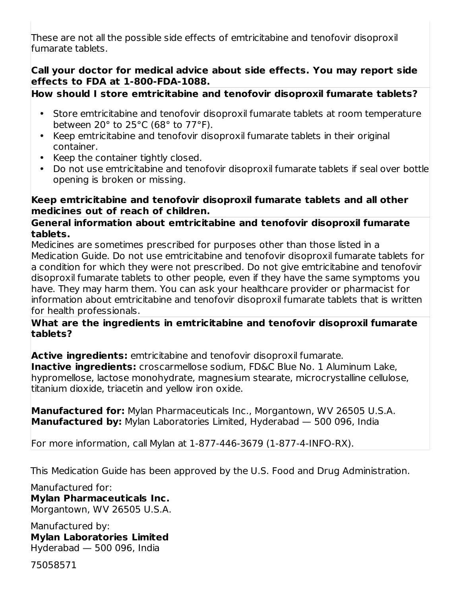These are not all the possible side effects of emtricitabine and tenofovir disoproxil fumarate tablets.

### **Call your doctor for medical advice about side effects. You may report side effects to FDA at 1-800-FDA-1088.**

## **How should I store emtricitabine and tenofovir disoproxil fumarate tablets?**

- Store emtricitabine and tenofovir disoproxil fumarate tablets at room temperature between 20° to 25°C (68° to 77°F).
- Keep emtricitabine and tenofovir disoproxil fumarate tablets in their original container.
- Keep the container tightly closed.
- Do not use emtricitabine and tenofovir disoproxil fumarate tablets if seal over bottle opening is broken or missing.

### **Keep emtricitabine and tenofovir disoproxil fumarate tablets and all other medicines out of reach of children.**

### **General information about emtricitabine and tenofovir disoproxil fumarate tablets.**

Medicines are sometimes prescribed for purposes other than those listed in a Medication Guide. Do not use emtricitabine and tenofovir disoproxil fumarate tablets for a condition for which they were not prescribed. Do not give emtricitabine and tenofovir disoproxil fumarate tablets to other people, even if they have the same symptoms you have. They may harm them. You can ask your healthcare provider or pharmacist for information about emtricitabine and tenofovir disoproxil fumarate tablets that is written for health professionals.

### **What are the ingredients in emtricitabine and tenofovir disoproxil fumarate tablets?**

**Active ingredients:** emtricitabine and tenofovir disoproxil fumarate.

**Inactive ingredients:** croscarmellose sodium, FD&C Blue No. 1 Aluminum Lake, hypromellose, lactose monohydrate, magnesium stearate, microcrystalline cellulose, titanium dioxide, triacetin and yellow iron oxide.

**Manufactured for:** Mylan Pharmaceuticals Inc., Morgantown, WV 26505 U.S.A. **Manufactured by:** Mylan Laboratories Limited, Hyderabad — 500 096, India

For more information, call Mylan at 1-877-446-3679 (1-877-4-INFO-RX).

This Medication Guide has been approved by the U.S. Food and Drug Administration.

Manufactured for: **Mylan Pharmaceuticals Inc.** Morgantown, WV 26505 U.S.A.

Manufactured by: **Mylan Laboratories Limited** Hyderabad — 500 096, India

75058571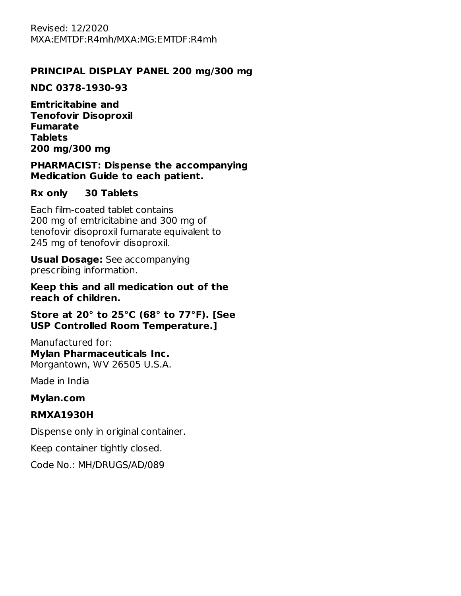## **PRINCIPAL DISPLAY PANEL 200 mg/300 mg**

#### **NDC 0378-1930-93**

**Emtricitabine and Tenofovir Disoproxil Fumarate Tablets 200 mg/300 mg**

#### **PHARMACIST: Dispense the accompanying Medication Guide to each patient.**

#### **Rx only 30 Tablets**

Each film-coated tablet contains 200 mg of emtricitabine and 300 mg of tenofovir disoproxil fumarate equivalent to 245 mg of tenofovir disoproxil.

**Usual Dosage:** See accompanying prescribing information.

**Keep this and all medication out of the reach of children.**

#### **Store at 20° to 25°C (68° to 77°F). [See USP Controlled Room Temperature.]**

Manufactured for: **Mylan Pharmaceuticals Inc.** Morgantown, WV 26505 U.S.A.

Made in India

#### **Mylan.com**

## **RMXA1930H**

Dispense only in original container.

Keep container tightly closed.

Code No.: MH/DRUGS/AD/089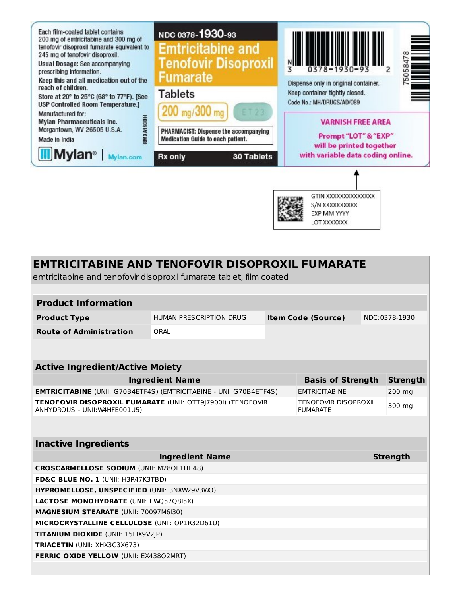

# **EMTRICITABINE AND TENOFOVIR DISOPROXIL FUMARATE** emtricitabine and tenofovir disoproxil fumarate tablet, film coated **Product Information Product Type** HUMAN PRESCRIPTION DRUG **Item Code (Source)** NDC:0378-1930 **Route of Administration** ORAL

| <b>Active Ingredient/Active Moiety</b>                                                              |                                                |                 |
|-----------------------------------------------------------------------------------------------------|------------------------------------------------|-----------------|
| <b>Ingredient Name</b>                                                                              | <b>Basis of Strength</b>                       | <b>Strength</b> |
| <b>EMTRICITABINE</b> (UNII: G70B4ETF4S) (EMTRICITABINE - UNII:G70B4ETF4S)                           | <b>EMTRICITABINE</b>                           | 200 mg          |
| <b>TENOFOVIR DISOPROXIL FUMARATE (UNII: OTT9179001) (TENOFOVIR</b><br>ANHYDROUS - UNII: W4HFE001U5) | <b>TENOFOVIR DISOPROXIL</b><br><b>FUMARATE</b> | 300 mg          |
|                                                                                                     |                                                |                 |

**Inactive Ingredients**

| <b>THESHE HIGH CHICHLS</b>                           |                 |  |  |  |  |  |
|------------------------------------------------------|-----------------|--|--|--|--|--|
| <b>Ingredient Name</b>                               | <b>Strength</b> |  |  |  |  |  |
| <b>CROSCARMELLOSE SODIUM (UNII: M280L1HH48)</b>      |                 |  |  |  |  |  |
| <b>FD&amp;C BLUE NO. 1 (UNII: H3R47K3TBD)</b>        |                 |  |  |  |  |  |
| <b>HYPROMELLOSE, UNSPECIFIED (UNII: 3NXW29V3WO)</b>  |                 |  |  |  |  |  |
| <b>LACTOSE MONOHYDRATE (UNII: EWO5708I5X)</b>        |                 |  |  |  |  |  |
| <b>MAGNESIUM STEARATE (UNII: 70097M6I30)</b>         |                 |  |  |  |  |  |
| <b>MICROCRYSTALLINE CELLULOSE (UNII: OP1R32D61U)</b> |                 |  |  |  |  |  |
| <b>TITANIUM DIOXIDE (UNII: 15FIX9V2IP)</b>           |                 |  |  |  |  |  |
| <b>TRIACETIN</b> (UNII: XHX3C3X673)                  |                 |  |  |  |  |  |
| <b>FERRIC OXIDE YELLOW (UNII: EX43802MRT)</b>        |                 |  |  |  |  |  |
|                                                      |                 |  |  |  |  |  |